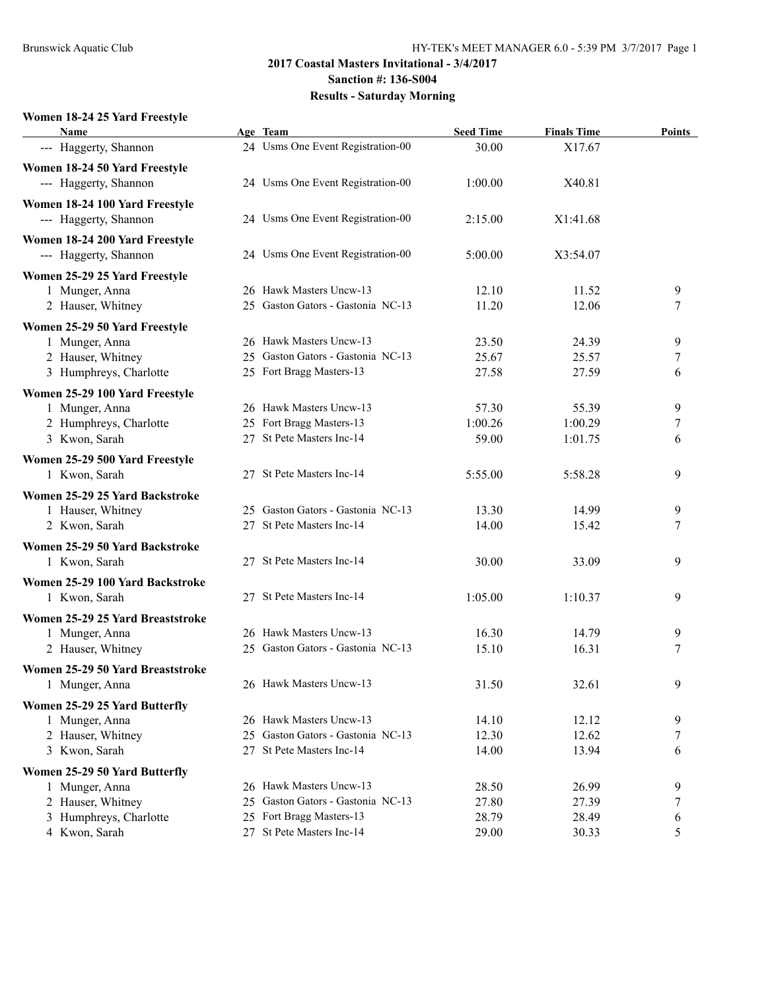#### **2017 Coastal Masters Invitational - 3/4/2017 Sanction #: 136-S004**

# **Results - Saturday Morning**

### **Women 18-24 25 Yard Freestyle**

| <b>Name</b>                      |    | Age Team                          | <b>Seed Time</b> | <b>Finals Time</b> | <b>Points</b> |
|----------------------------------|----|-----------------------------------|------------------|--------------------|---------------|
| --- Haggerty, Shannon            |    | 24 Usms One Event Registration-00 | 30.00            | X17.67             |               |
| Women 18-24 50 Yard Freestyle    |    |                                   |                  |                    |               |
| --- Haggerty, Shannon            |    | 24 Usms One Event Registration-00 | 1:00.00          | X40.81             |               |
| Women 18-24 100 Yard Freestyle   |    |                                   |                  |                    |               |
| --- Haggerty, Shannon            |    | 24 Usms One Event Registration-00 | 2:15.00          | X1:41.68           |               |
|                                  |    |                                   |                  |                    |               |
| Women 18-24 200 Yard Freestyle   |    |                                   |                  |                    |               |
| --- Haggerty, Shannon            |    | 24 Usms One Event Registration-00 | 5:00.00          | X3:54.07           |               |
| Women 25-29 25 Yard Freestyle    |    |                                   |                  |                    |               |
| 1 Munger, Anna                   |    | 26 Hawk Masters Uncw-13           | 12.10            | 11.52              | 9             |
| 2 Hauser, Whitney                |    | 25 Gaston Gators - Gastonia NC-13 | 11.20            | 12.06              | 7             |
| Women 25-29 50 Yard Freestyle    |    |                                   |                  |                    |               |
| 1 Munger, Anna                   |    | 26 Hawk Masters Uncw-13           | 23.50            | 24.39              | 9             |
| 2 Hauser, Whitney                |    | 25 Gaston Gators - Gastonia NC-13 | 25.67            | 25.57              | 7             |
| 3 Humphreys, Charlotte           |    | 25 Fort Bragg Masters-13          | 27.58            | 27.59              | 6             |
| Women 25-29 100 Yard Freestyle   |    |                                   |                  |                    |               |
| 1 Munger, Anna                   |    | 26 Hawk Masters Uncw-13           | 57.30            | 55.39              | 9             |
| 2 Humphreys, Charlotte           |    | 25 Fort Bragg Masters-13          | 1:00.26          | 1:00.29            | 7             |
| 3 Kwon, Sarah                    |    | 27 St Pete Masters Inc-14         | 59.00            | 1:01.75            | 6             |
| Women 25-29 500 Yard Freestyle   |    |                                   |                  |                    |               |
| 1 Kwon, Sarah                    |    | 27 St Pete Masters Inc-14         | 5:55.00          | 5:58.28            | 9             |
| Women 25-29 25 Yard Backstroke   |    |                                   |                  |                    |               |
| 1 Hauser, Whitney                |    | 25 Gaston Gators - Gastonia NC-13 | 13.30            | 14.99              | 9             |
| 2 Kwon, Sarah                    |    | 27 St Pete Masters Inc-14         | 14.00            | 15.42              | 7             |
|                                  |    |                                   |                  |                    |               |
| Women 25-29 50 Yard Backstroke   |    |                                   |                  |                    |               |
| 1 Kwon, Sarah                    |    | 27 St Pete Masters Inc-14         | 30.00            | 33.09              | 9             |
| Women 25-29 100 Yard Backstroke  |    |                                   |                  |                    |               |
| 1 Kwon, Sarah                    |    | 27 St Pete Masters Inc-14         | 1:05.00          | 1:10.37            | 9             |
| Women 25-29 25 Yard Breaststroke |    |                                   |                  |                    |               |
| 1 Munger, Anna                   |    | 26 Hawk Masters Uncw-13           | 16.30            | 14.79              | 9             |
| 2 Hauser, Whitney                |    | 25 Gaston Gators - Gastonia NC-13 | 15.10            | 16.31              | 7             |
| Women 25-29 50 Yard Breaststroke |    |                                   |                  |                    |               |
| 1 Munger, Anna                   |    | 26 Hawk Masters Uncw-13           | 31.50            | 32.61              | 9             |
| Women 25-29 25 Yard Butterfly    |    |                                   |                  |                    |               |
| 1 Munger, Anna                   |    | 26 Hawk Masters Uncw-13           | 14.10            | 12.12              | 9             |
| 2 Hauser, Whitney                | 25 | Gaston Gators - Gastonia NC-13    | 12.30            | 12.62              | 7             |
| 3 Kwon, Sarah                    |    | 27 St Pete Masters Inc-14         | 14.00            | 13.94              | 6             |
| Women 25-29 50 Yard Butterfly    |    |                                   |                  |                    |               |
| 1 Munger, Anna                   |    | 26 Hawk Masters Uncw-13           | 28.50            | 26.99              | 9             |
| 2 Hauser, Whitney                | 25 | Gaston Gators - Gastonia NC-13    | 27.80            | 27.39              | 7             |
| 3 Humphreys, Charlotte           | 25 | Fort Bragg Masters-13             | 28.79            | 28.49              | 6             |
| 4 Kwon, Sarah                    |    | 27 St Pete Masters Inc-14         | 29.00            | 30.33              | 5             |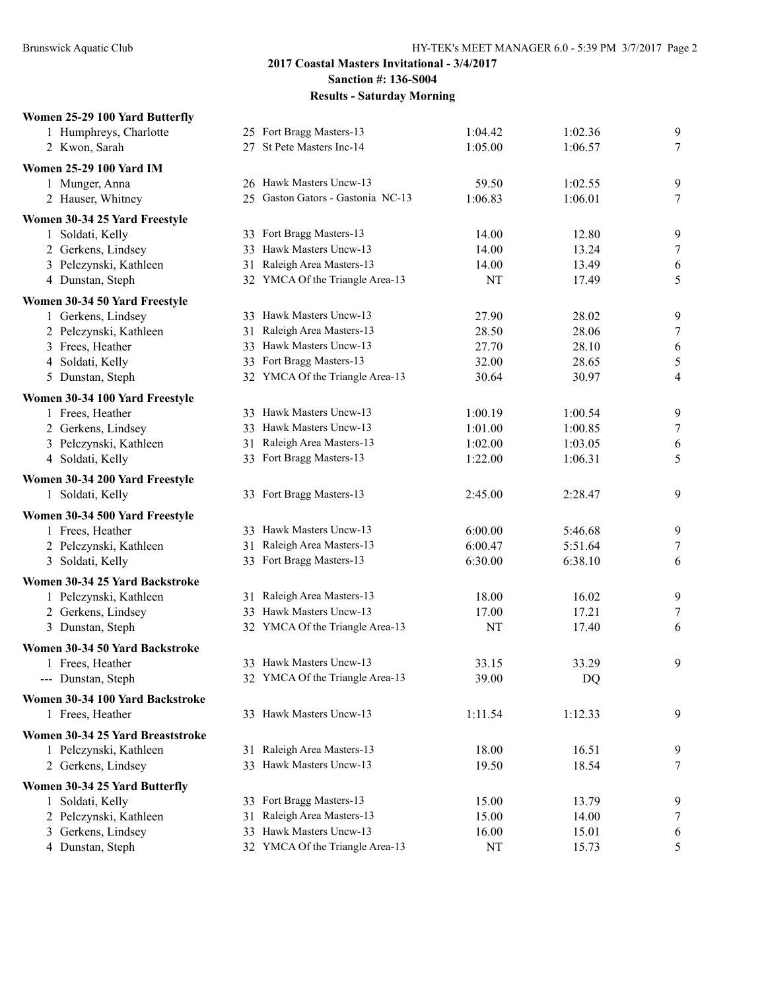#### **Women 25-29 100 Yard Butterfly**

| 1 Humphreys, Charlotte                              |    | 25 Fort Bragg Masters-13          | 1:04.42   | 1:02.36 | 9      |
|-----------------------------------------------------|----|-----------------------------------|-----------|---------|--------|
| 2 Kwon, Sarah                                       |    | 27 St Pete Masters Inc-14         | 1:05.00   | 1:06.57 | $\tau$ |
| <b>Women 25-29 100 Yard IM</b>                      |    |                                   |           |         |        |
| 1 Munger, Anna                                      |    | 26 Hawk Masters Uncw-13           | 59.50     | 1:02.55 | 9      |
| 2 Hauser, Whitney                                   |    | 25 Gaston Gators - Gastonia NC-13 | 1:06.83   | 1:06.01 | 7      |
| Women 30-34 25 Yard Freestyle                       |    |                                   |           |         |        |
| 1 Soldati, Kelly                                    |    | 33 Fort Bragg Masters-13          | 14.00     | 12.80   | 9      |
| 2 Gerkens, Lindsey                                  |    | 33 Hawk Masters Uncw-13           | 14.00     | 13.24   | $\tau$ |
| 3 Pelczynski, Kathleen                              |    | 31 Raleigh Area Masters-13        | 14.00     | 13.49   | 6      |
| 4 Dunstan, Steph                                    |    | 32 YMCA Of the Triangle Area-13   | NT        | 17.49   | 5      |
| Women 30-34 50 Yard Freestyle                       |    |                                   |           |         |        |
| 1 Gerkens, Lindsey                                  |    | 33 Hawk Masters Uncw-13           | 27.90     | 28.02   | 9      |
| 2 Pelczynski, Kathleen                              |    | 31 Raleigh Area Masters-13        | 28.50     | 28.06   | 7      |
| 3 Frees, Heather                                    |    | 33 Hawk Masters Uncw-13           | 27.70     | 28.10   | 6      |
| 4 Soldati, Kelly                                    |    | 33 Fort Bragg Masters-13          | 32.00     | 28.65   | 5      |
| 5 Dunstan, Steph                                    |    | 32 YMCA Of the Triangle Area-13   | 30.64     | 30.97   | 4      |
| Women 30-34 100 Yard Freestyle                      |    |                                   |           |         |        |
| 1 Frees, Heather                                    |    | 33 Hawk Masters Uncw-13           | 1:00.19   | 1:00.54 | 9      |
| 2 Gerkens, Lindsey                                  |    | 33 Hawk Masters Uncw-13           | 1:01.00   | 1:00.85 | $\tau$ |
| 3 Pelczynski, Kathleen                              |    | 31 Raleigh Area Masters-13        | 1:02.00   | 1:03.05 | 6      |
| 4 Soldati, Kelly                                    |    | 33 Fort Bragg Masters-13          | 1:22.00   | 1:06.31 | 5      |
| Women 30-34 200 Yard Freestyle                      |    |                                   |           |         |        |
| 1 Soldati, Kelly                                    |    | 33 Fort Bragg Masters-13          | 2:45.00   | 2:28.47 | 9      |
| Women 30-34 500 Yard Freestyle                      |    |                                   |           |         |        |
| 1 Frees, Heather                                    |    | 33 Hawk Masters Uncw-13           | 6:00.00   | 5:46.68 | 9      |
| 2 Pelczynski, Kathleen                              |    | 31 Raleigh Area Masters-13        | 6:00.47   | 5:51.64 | $\tau$ |
| 3 Soldati, Kelly                                    |    | 33 Fort Bragg Masters-13          | 6:30.00   | 6:38.10 | 6      |
| Women 30-34 25 Yard Backstroke                      |    |                                   |           |         |        |
| 1 Pelczynski, Kathleen                              |    | 31 Raleigh Area Masters-13        | 18.00     | 16.02   | 9      |
| 2 Gerkens, Lindsey                                  |    | 33 Hawk Masters Uncw-13           | 17.00     | 17.21   | 7      |
| 3 Dunstan, Steph                                    |    | 32 YMCA Of the Triangle Area-13   | <b>NT</b> | 17.40   | 6      |
| Women 30-34 50 Yard Backstroke                      |    |                                   |           |         |        |
| 1 Frees, Heather                                    |    | 33 Hawk Masters Uncw-13           | 33.15     | 33.29   | 9      |
| --- Dunstan, Steph                                  |    | 32 YMCA Of the Triangle Area-13   | 39.00     | DQ      |        |
|                                                     |    |                                   |           |         |        |
| Women 30-34 100 Yard Backstroke<br>1 Frees, Heather |    | 33 Hawk Masters Uncw-13           | 1:11.54   | 1:12.33 | 9      |
|                                                     |    |                                   |           |         |        |
| Women 30-34 25 Yard Breaststroke                    |    |                                   |           |         |        |
| 1 Pelczynski, Kathleen                              |    | 31 Raleigh Area Masters-13        | 18.00     | 16.51   | 9      |
| 2 Gerkens, Lindsey                                  |    | 33 Hawk Masters Uncw-13           | 19.50     | 18.54   | 7      |
| Women 30-34 25 Yard Butterfly                       |    |                                   |           |         |        |
| 1 Soldati, Kelly                                    |    | 33 Fort Bragg Masters-13          | 15.00     | 13.79   | 9      |
| 2 Pelczynski, Kathleen                              | 31 | Raleigh Area Masters-13           | 15.00     | 14.00   | 7      |
| 3 Gerkens, Lindsey                                  |    | 33 Hawk Masters Uncw-13           | 16.00     | 15.01   | 6      |
| 4 Dunstan, Steph                                    |    | 32 YMCA Of the Triangle Area-13   | NT        | 15.73   | 5      |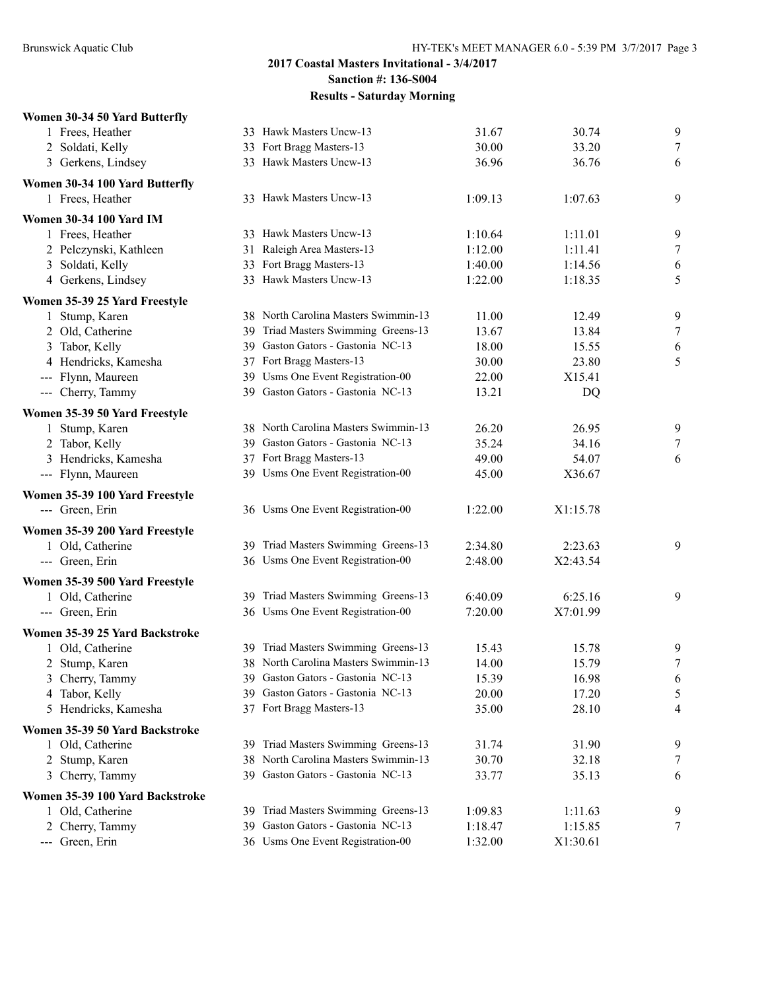### **Women 30-34 50 Yard Butterfly**

| 1 Frees, Heather                |    | 33 Hawk Masters Uncw-13              | 31.67   | 30.74    | 9                |
|---------------------------------|----|--------------------------------------|---------|----------|------------------|
| 2 Soldati, Kelly                |    | 33 Fort Bragg Masters-13             | 30.00   | 33.20    | $\tau$           |
| 3 Gerkens, Lindsey              |    | 33 Hawk Masters Uncw-13              | 36.96   | 36.76    | 6                |
| Women 30-34 100 Yard Butterfly  |    |                                      |         |          |                  |
| 1 Frees, Heather                |    | 33 Hawk Masters Uncw-13              | 1:09.13 | 1:07.63  | 9                |
| <b>Women 30-34 100 Yard IM</b>  |    |                                      |         |          |                  |
| 1 Frees, Heather                |    | 33 Hawk Masters Uncw-13              | 1:10.64 | 1:11.01  | 9                |
| 2 Pelczynski, Kathleen          |    | 31 Raleigh Area Masters-13           | 1:12.00 | 1:11.41  | $\boldsymbol{7}$ |
| 3 Soldati, Kelly                |    | 33 Fort Bragg Masters-13             | 1:40.00 | 1:14.56  | 6                |
| 4 Gerkens, Lindsey              |    | 33 Hawk Masters Uncw-13              | 1:22.00 | 1:18.35  | 5                |
| Women 35-39 25 Yard Freestyle   |    |                                      |         |          |                  |
| 1 Stump, Karen                  |    | 38 North Carolina Masters Swimmin-13 | 11.00   | 12.49    | 9                |
| 2 Old, Catherine                |    | 39 Triad Masters Swimming Greens-13  | 13.67   | 13.84    | $\tau$           |
| 3 Tabor, Kelly                  |    | 39 Gaston Gators - Gastonia NC-13    | 18.00   | 15.55    | 6                |
| 4 Hendricks, Kamesha            |    | 37 Fort Bragg Masters-13             | 30.00   | 23.80    | 5                |
| --- Flynn, Maureen              |    | 39 Usms One Event Registration-00    | 22.00   | X15.41   |                  |
| --- Cherry, Tammy               |    | 39 Gaston Gators - Gastonia NC-13    | 13.21   | DQ       |                  |
| Women 35-39 50 Yard Freestyle   |    |                                      |         |          |                  |
| 1 Stump, Karen                  |    | 38 North Carolina Masters Swimmin-13 | 26.20   | 26.95    | 9                |
| 2 Tabor, Kelly                  |    | 39 Gaston Gators - Gastonia NC-13    | 35.24   | 34.16    | $\tau$           |
| 3 Hendricks, Kamesha            |    | 37 Fort Bragg Masters-13             | 49.00   | 54.07    | 6                |
| --- Flynn, Maureen              |    | 39 Usms One Event Registration-00    | 45.00   | X36.67   |                  |
| Women 35-39 100 Yard Freestyle  |    |                                      |         |          |                  |
| --- Green, Erin                 |    | 36 Usms One Event Registration-00    | 1:22.00 | X1:15.78 |                  |
| Women 35-39 200 Yard Freestyle  |    |                                      |         |          |                  |
| 1 Old, Catherine                |    | 39 Triad Masters Swimming Greens-13  | 2:34.80 | 2:23.63  | 9                |
| --- Green, Erin                 |    | 36 Usms One Event Registration-00    | 2:48.00 | X2:43.54 |                  |
| Women 35-39 500 Yard Freestyle  |    |                                      |         |          |                  |
| 1 Old, Catherine                |    | 39 Triad Masters Swimming Greens-13  | 6:40.09 | 6:25.16  | 9                |
| --- Green, Erin                 |    | 36 Usms One Event Registration-00    | 7:20.00 | X7:01.99 |                  |
| Women 35-39 25 Yard Backstroke  |    |                                      |         |          |                  |
| 1 Old, Catherine                |    | 39 Triad Masters Swimming Greens-13  | 15.43   | 15.78    | 9                |
| 2 Stump, Karen                  | 38 | North Carolina Masters Swimmin-13    | 14.00   | 15.79    | $\boldsymbol{7}$ |
| 3 Cherry, Tammy                 |    | 39 Gaston Gators - Gastonia NC-13    | 15.39   | 16.98    | 6                |
| 4 Tabor, Kelly                  |    | 39 Gaston Gators - Gastonia NC-13    | 20.00   | 17.20    | 5                |
| 5 Hendricks, Kamesha            |    | 37 Fort Bragg Masters-13             | 35.00   | 28.10    | 4                |
| Women 35-39 50 Yard Backstroke  |    |                                      |         |          |                  |
| 1 Old, Catherine                |    | 39 Triad Masters Swimming Greens-13  | 31.74   | 31.90    | 9                |
| 2 Stump, Karen                  |    | 38 North Carolina Masters Swimmin-13 | 30.70   | 32.18    | 7                |
| 3 Cherry, Tammy                 | 39 | Gaston Gators - Gastonia NC-13       | 33.77   | 35.13    | 6                |
| Women 35-39 100 Yard Backstroke |    |                                      |         |          |                  |
| 1 Old, Catherine                |    | 39 Triad Masters Swimming Greens-13  | 1:09.83 | 1:11.63  | 9                |
| 2 Cherry, Tammy                 |    | 39 Gaston Gators - Gastonia NC-13    | 1:18.47 | 1:15.85  | 7                |
| --- Green, Erin                 |    | 36 Usms One Event Registration-00    | 1:32.00 | X1:30.61 |                  |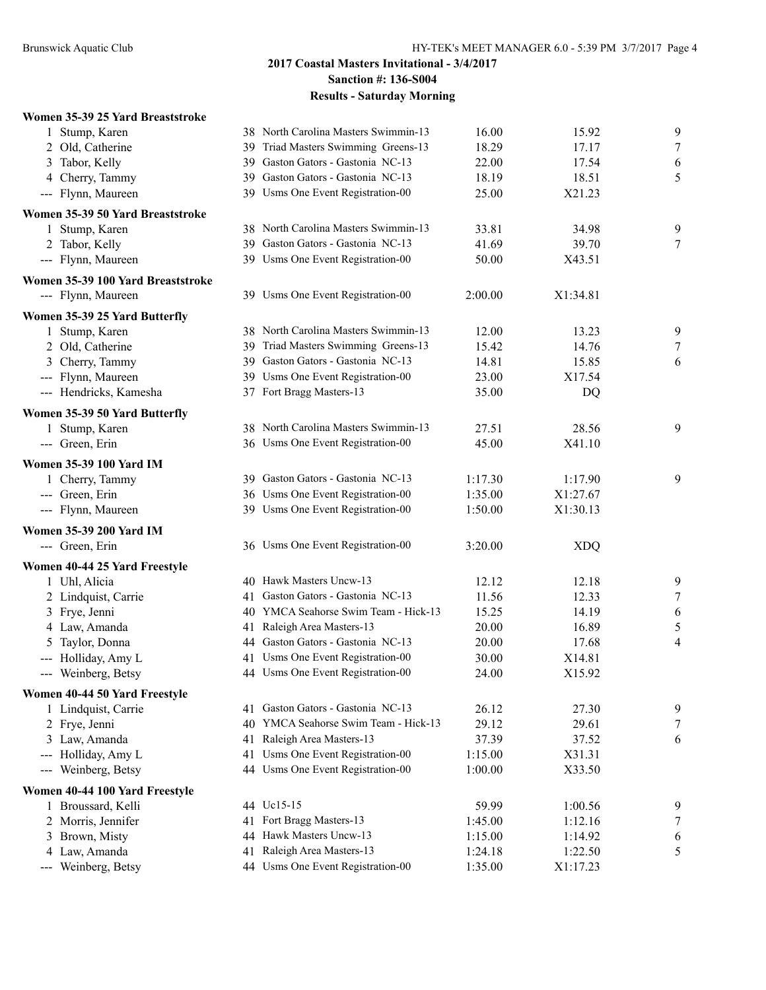#### **Women 35-39 25 Yard Breaststroke**

| 1 Stump, Karen                    |     | 38 North Carolina Masters Swimmin-13 | 16.00   | 15.92      | $\boldsymbol{9}$ |
|-----------------------------------|-----|--------------------------------------|---------|------------|------------------|
| 2 Old, Catherine                  | 39  | Triad Masters Swimming Greens-13     | 18.29   | 17.17      | $\boldsymbol{7}$ |
| Tabor, Kelly<br>3                 | 39  | Gaston Gators - Gastonia NC-13       | 22.00   | 17.54      | 6                |
| 4 Cherry, Tammy                   |     | 39 Gaston Gators - Gastonia NC-13    | 18.19   | 18.51      | 5                |
| --- Flynn, Maureen                |     | 39 Usms One Event Registration-00    | 25.00   | X21.23     |                  |
| Women 35-39 50 Yard Breaststroke  |     |                                      |         |            |                  |
| 1 Stump, Karen                    |     | 38 North Carolina Masters Swimmin-13 | 33.81   | 34.98      | 9                |
| 2 Tabor, Kelly                    | 39  | Gaston Gators - Gastonia NC-13       | 41.69   | 39.70      | $\overline{7}$   |
| --- Flynn, Maureen                |     | 39 Usms One Event Registration-00    | 50.00   | X43.51     |                  |
| Women 35-39 100 Yard Breaststroke |     |                                      |         |            |                  |
| --- Flynn, Maureen                |     | 39 Usms One Event Registration-00    | 2:00.00 | X1:34.81   |                  |
| Women 35-39 25 Yard Butterfly     |     |                                      |         |            |                  |
| 1 Stump, Karen                    |     | 38 North Carolina Masters Swimmin-13 | 12.00   | 13.23      | 9                |
| 2 Old, Catherine                  | 39  | Triad Masters Swimming Greens-13     | 15.42   | 14.76      | $\tau$           |
| 3 Cherry, Tammy                   |     | 39 Gaston Gators - Gastonia NC-13    | 14.81   | 15.85      | 6                |
| --- Flynn, Maureen                |     | 39 Usms One Event Registration-00    | 23.00   | X17.54     |                  |
| --- Hendricks, Kamesha            |     | 37 Fort Bragg Masters-13             | 35.00   | DQ         |                  |
| Women 35-39 50 Yard Butterfly     |     |                                      |         |            |                  |
| 1 Stump, Karen                    |     | 38 North Carolina Masters Swimmin-13 | 27.51   | 28.56      | 9                |
| --- Green, Erin                   |     | 36 Usms One Event Registration-00    | 45.00   | X41.10     |                  |
| <b>Women 35-39 100 Yard IM</b>    |     |                                      |         |            |                  |
| 1 Cherry, Tammy                   |     | 39 Gaston Gators - Gastonia NC-13    | 1:17.30 | 1:17.90    | 9                |
| --- Green, Erin                   |     | 36 Usms One Event Registration-00    | 1:35.00 | X1:27.67   |                  |
| --- Flynn, Maureen                |     | 39 Usms One Event Registration-00    | 1:50.00 | X1:30.13   |                  |
| <b>Women 35-39 200 Yard IM</b>    |     |                                      |         |            |                  |
| --- Green, Erin                   |     | 36 Usms One Event Registration-00    | 3:20.00 | <b>XDQ</b> |                  |
| Women 40-44 25 Yard Freestyle     |     |                                      |         |            |                  |
| 1 Uhl, Alicia                     | 40. | Hawk Masters Uncw-13                 | 12.12   | 12.18      | 9                |
| 2 Lindquist, Carrie               | 41  | Gaston Gators - Gastonia NC-13       | 11.56   | 12.33      | $\boldsymbol{7}$ |
| 3 Frye, Jenni                     | 40  | YMCA Seahorse Swim Team - Hick-13    | 15.25   | 14.19      | 6                |
| 4 Law, Amanda                     | 41  | Raleigh Area Masters-13              | 20.00   | 16.89      | 5                |
| Taylor, Donna                     |     | 44 Gaston Gators - Gastonia NC-13    | 20.00   | 17.68      | 4                |
| --- Holliday, Amy L               |     | 41 Usms One Event Registration-00    | 30.00   | X14.81     |                  |
| --- Weinberg, Betsy               |     | 44 Usms One Event Registration-00    | 24.00   | X15.92     |                  |
| Women 40-44 50 Yard Freestyle     |     |                                      |         |            |                  |
| 1 Lindquist, Carrie               |     | 41 Gaston Gators - Gastonia NC-13    | 26.12   | 27.30      | 9                |
| 2 Frye, Jenni                     | 40  | YMCA Seahorse Swim Team - Hick-13    | 29.12   | 29.61      | 7                |
| 3 Law, Amanda                     | 41  | Raleigh Area Masters-13              | 37.39   | 37.52      | 6                |
| --- Holliday, Amy L               | 41  | Usms One Event Registration-00       | 1:15.00 | X31.31     |                  |
| --- Weinberg, Betsy               |     | 44 Usms One Event Registration-00    | 1:00.00 | X33.50     |                  |
| Women 40-44 100 Yard Freestyle    |     |                                      |         |            |                  |
| 1 Broussard, Kelli                |     | 44 Uc15-15                           | 59.99   | 1:00.56    | 9                |
| 2 Morris, Jennifer                | 41  | Fort Bragg Masters-13                | 1:45.00 | 1:12.16    | 7                |
| 3 Brown, Misty                    | 44  | Hawk Masters Uncw-13                 | 1:15.00 | 1:14.92    | 6                |
| 4 Law, Amanda                     | 41  | Raleigh Area Masters-13              | 1:24.18 | 1:22.50    | 5                |
| --- Weinberg, Betsy               |     | 44 Usms One Event Registration-00    | 1:35.00 | X1:17.23   |                  |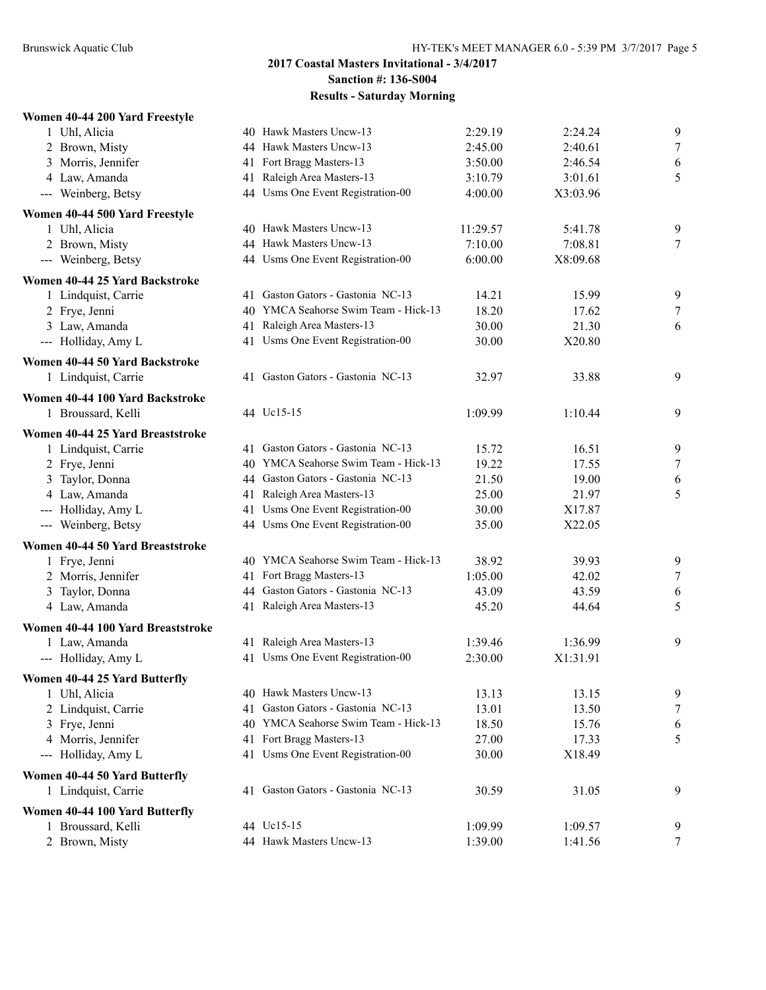#### **Women 40-44 200 Yard Freestyle**

| 1 Uhl, Alicia                     | 40 Hawk Masters Uncw-13              | 2:29.19  | 2:24.24  | 9                |
|-----------------------------------|--------------------------------------|----------|----------|------------------|
| 2 Brown, Misty                    | 44 Hawk Masters Uncw-13              | 2:45.00  | 2:40.61  | $\tau$           |
| 3 Morris, Jennifer                | 41 Fort Bragg Masters-13             | 3:50.00  | 2:46.54  | 6                |
| 4 Law, Amanda                     | 41 Raleigh Area Masters-13           | 3:10.79  | 3:01.61  | 5                |
| --- Weinberg, Betsy               | 44 Usms One Event Registration-00    | 4:00.00  | X3:03.96 |                  |
| Women 40-44 500 Yard Freestyle    |                                      |          |          |                  |
| 1 Uhl, Alicia                     | 40 Hawk Masters Uncw-13              | 11:29.57 | 5:41.78  | 9                |
| 2 Brown, Misty                    | 44 Hawk Masters Uncw-13              | 7:10.00  | 7:08.81  | 7                |
| --- Weinberg, Betsy               | 44 Usms One Event Registration-00    | 6:00.00  | X8:09.68 |                  |
| Women 40-44 25 Yard Backstroke    |                                      |          |          |                  |
| 1 Lindquist, Carrie               | 41 Gaston Gators - Gastonia NC-13    | 14.21    | 15.99    | 9                |
| 2 Frye, Jenni                     | 40 YMCA Seahorse Swim Team - Hick-13 | 18.20    | 17.62    | $\tau$           |
| 3 Law, Amanda                     | 41 Raleigh Area Masters-13           | 30.00    | 21.30    | 6                |
| --- Holliday, Amy L               | 41 Usms One Event Registration-00    | 30.00    | X20.80   |                  |
| Women 40-44 50 Yard Backstroke    |                                      |          |          |                  |
| 1 Lindquist, Carrie               | 41 Gaston Gators - Gastonia NC-13    | 32.97    | 33.88    | 9                |
| Women 40-44 100 Yard Backstroke   |                                      |          |          |                  |
| 1 Broussard, Kelli                | 44 Uc15-15                           | 1:09.99  | 1:10.44  | 9                |
| Women 40-44 25 Yard Breaststroke  |                                      |          |          |                  |
| 1 Lindquist, Carrie               | 41 Gaston Gators - Gastonia NC-13    | 15.72    | 16.51    | 9                |
| 2 Frye, Jenni                     | 40 YMCA Seahorse Swim Team - Hick-13 | 19.22    | 17.55    | $\tau$           |
| 3 Taylor, Donna                   | 44 Gaston Gators - Gastonia NC-13    | 21.50    | 19.00    | 6                |
| 4 Law, Amanda                     | 41 Raleigh Area Masters-13           | 25.00    | 21.97    | 5                |
| --- Holliday, Amy L               | 41 Usms One Event Registration-00    | 30.00    | X17.87   |                  |
| --- Weinberg, Betsy               | 44 Usms One Event Registration-00    | 35.00    | X22.05   |                  |
| Women 40-44 50 Yard Breaststroke  |                                      |          |          |                  |
| 1 Frye, Jenni                     | 40 YMCA Seahorse Swim Team - Hick-13 | 38.92    | 39.93    | 9                |
| 2 Morris, Jennifer                | 41 Fort Bragg Masters-13             | 1:05.00  | 42.02    | $\boldsymbol{7}$ |
| 3 Taylor, Donna                   | 44 Gaston Gators - Gastonia NC-13    | 43.09    | 43.59    | 6                |
| 4 Law, Amanda                     | 41 Raleigh Area Masters-13           | 45.20    | 44.64    | 5                |
| Women 40-44 100 Yard Breaststroke |                                      |          |          |                  |
| 1 Law, Amanda                     | 41 Raleigh Area Masters-13           | 1:39.46  | 1:36.99  | 9                |
| --- Holliday, Amy L               | 41 Usms One Event Registration-00    | 2:30.00  | X1:31.91 |                  |
| Women 40-44 25 Yard Butterfly     |                                      |          |          |                  |
| 1 Uhl, Alicia                     | 40 Hawk Masters Uncw-13              | 13.13    | 13.15    | 9                |
| 2 Lindquist, Carrie               | Gaston Gators - Gastonia NC-13       | 13.01    | 13.50    | 7                |
| 3 Frye, Jenni                     | 40 YMCA Seahorse Swim Team - Hick-13 | 18.50    | 15.76    | 6                |
| 4 Morris, Jennifer                | 41 Fort Bragg Masters-13             | 27.00    | 17.33    | 5                |
| --- Holliday, Amy L               | 41 Usms One Event Registration-00    | 30.00    | X18.49   |                  |
| Women 40-44 50 Yard Butterfly     |                                      |          |          |                  |
| 1 Lindquist, Carrie               | 41 Gaston Gators - Gastonia NC-13    | 30.59    | 31.05    | 9                |
| Women 40-44 100 Yard Butterfly    |                                      |          |          |                  |
| 1 Broussard, Kelli                | 44 Uc15-15                           | 1:09.99  | 1:09.57  | 9                |
| 2 Brown, Misty                    | 44 Hawk Masters Uncw-13              | 1:39.00  | 1:41.56  | $\tau$           |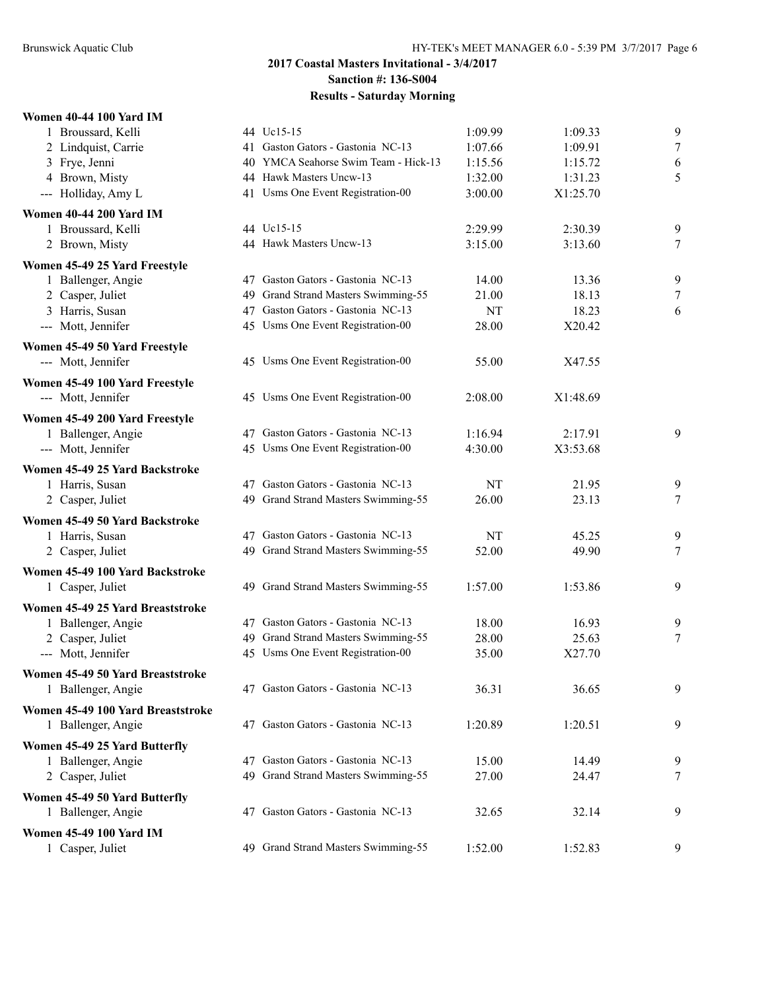| <b>Women 40-44 100 Yard IM</b>           |     |                                      |           |          |        |
|------------------------------------------|-----|--------------------------------------|-----------|----------|--------|
| 1 Broussard, Kelli                       |     | 44 Uc15-15                           | 1:09.99   | 1:09.33  | 9      |
| 2 Lindquist, Carrie                      |     | 41 Gaston Gators - Gastonia NC-13    | 1:07.66   | 1:09.91  | 7      |
| 3 Frye, Jenni                            |     | 40 YMCA Seahorse Swim Team - Hick-13 | 1:15.56   | 1:15.72  | 6      |
| 4 Brown, Misty                           |     | 44 Hawk Masters Uncw-13              | 1:32.00   | 1:31.23  | 5      |
| --- Holliday, Amy L                      |     | 41 Usms One Event Registration-00    | 3:00.00   | X1:25.70 |        |
| <b>Women 40-44 200 Yard IM</b>           |     |                                      |           |          |        |
| 1 Broussard, Kelli                       |     | 44 Uc15-15                           | 2:29.99   | 2:30.39  | 9      |
| 2 Brown, Misty                           |     | 44 Hawk Masters Uncw-13              | 3:15.00   | 3:13.60  | 7      |
| Women 45-49 25 Yard Freestyle            |     |                                      |           |          |        |
| 1 Ballenger, Angie                       |     | 47 Gaston Gators - Gastonia NC-13    | 14.00     | 13.36    | 9      |
| 2 Casper, Juliet                         | 49. | Grand Strand Masters Swimming-55     | 21.00     | 18.13    | $\tau$ |
| 3 Harris, Susan                          |     | 47 Gaston Gators - Gastonia NC-13    | <b>NT</b> | 18.23    | 6      |
| --- Mott, Jennifer                       |     | 45 Usms One Event Registration-00    | 28.00     | X20.42   |        |
| Women 45-49 50 Yard Freestyle            |     |                                      |           |          |        |
| --- Mott, Jennifer                       |     | 45 Usms One Event Registration-00    | 55.00     | X47.55   |        |
| Women 45-49 100 Yard Freestyle           |     |                                      |           |          |        |
| --- Mott, Jennifer                       |     | 45 Usms One Event Registration-00    | 2:08.00   | X1:48.69 |        |
|                                          |     |                                      |           |          |        |
| Women 45-49 200 Yard Freestyle           |     | 47 Gaston Gators - Gastonia NC-13    | 1:16.94   | 2:17.91  |        |
| 1 Ballenger, Angie<br>--- Mott, Jennifer |     | 45 Usms One Event Registration-00    | 4:30.00   | X3:53.68 | 9      |
|                                          |     |                                      |           |          |        |
| Women 45-49 25 Yard Backstroke           |     |                                      |           |          |        |
| 1 Harris, Susan                          |     | 47 Gaston Gators - Gastonia NC-13    | NT        | 21.95    | 9      |
| 2 Casper, Juliet                         |     | 49 Grand Strand Masters Swimming-55  | 26.00     | 23.13    | 7      |
| Women 45-49 50 Yard Backstroke           |     |                                      |           |          |        |
| 1 Harris, Susan                          |     | 47 Gaston Gators - Gastonia NC-13    | NT        | 45.25    | 9      |
| 2 Casper, Juliet                         |     | 49 Grand Strand Masters Swimming-55  | 52.00     | 49.90    | 7      |
| Women 45-49 100 Yard Backstroke          |     |                                      |           |          |        |
| 1 Casper, Juliet                         |     | 49 Grand Strand Masters Swimming-55  | 1:57.00   | 1:53.86  | 9      |
| Women 45-49 25 Yard Breaststroke         |     |                                      |           |          |        |
| 1 Ballenger, Angie                       |     | 47 Gaston Gators - Gastonia NC-13    | 18.00     | 16.93    | 9      |
| 2 Casper, Juliet                         |     | 49 Grand Strand Masters Swimming-55  | 28.00     | 25.63    | 7      |
| --- Mott, Jennifer                       |     | 45 Usms One Event Registration-00    | 35.00     | X27.70   |        |
| Women 45-49 50 Yard Breaststroke         |     |                                      |           |          |        |
| 1 Ballenger, Angie                       |     | 47 Gaston Gators - Gastonia NC-13    | 36.31     | 36.65    | 9      |
| Women 45-49 100 Yard Breaststroke        |     |                                      |           |          |        |
| 1 Ballenger, Angie                       |     | 47 Gaston Gators - Gastonia NC-13    | 1:20.89   | 1:20.51  | 9      |
| Women 45-49 25 Yard Butterfly            |     |                                      |           |          |        |
| 1 Ballenger, Angie                       |     | 47 Gaston Gators - Gastonia NC-13    | 15.00     | 14.49    | 9      |
| 2 Casper, Juliet                         |     | 49 Grand Strand Masters Swimming-55  | 27.00     | 24.47    | 7      |
| Women 45-49 50 Yard Butterfly            |     |                                      |           |          |        |
| 1 Ballenger, Angie                       |     | 47 Gaston Gators - Gastonia NC-13    | 32.65     | 32.14    | 9      |
| <b>Women 45-49 100 Yard IM</b>           |     |                                      |           |          |        |
| 1 Casper, Juliet                         |     | 49 Grand Strand Masters Swimming-55  | 1:52.00   | 1:52.83  | 9      |
|                                          |     |                                      |           |          |        |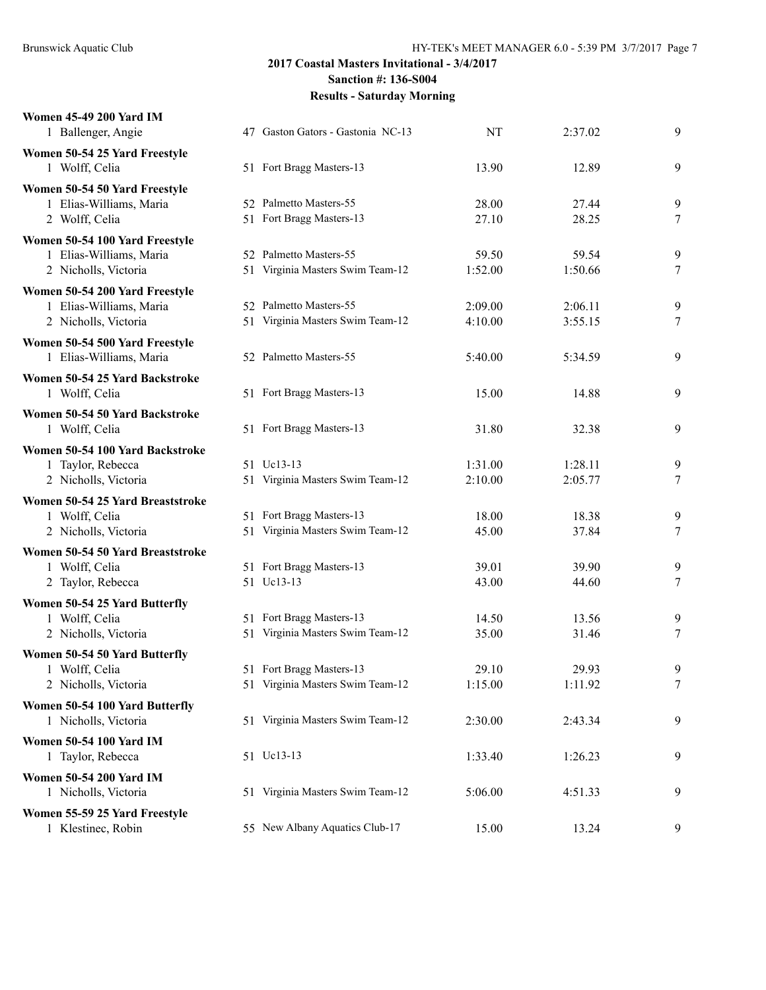| <b>Women 45-49 200 Yard IM</b><br>1 Ballenger, Angie                              | 47 Gaston Gators - Gastonia NC-13                            | NT                 | 2:37.02            | 9           |
|-----------------------------------------------------------------------------------|--------------------------------------------------------------|--------------------|--------------------|-------------|
| Women 50-54 25 Yard Freestyle<br>1 Wolff, Celia                                   | 51 Fort Bragg Masters-13                                     | 13.90              | 12.89              | 9           |
| Women 50-54 50 Yard Freestyle<br>1 Elias-Williams, Maria<br>2 Wolff, Celia        | 52 Palmetto Masters-55<br>51 Fort Bragg Masters-13           | 28.00<br>27.10     | 27.44<br>28.25     | 9<br>7      |
| Women 50-54 100 Yard Freestyle<br>1 Elias-Williams, Maria<br>2 Nicholls, Victoria | 52 Palmetto Masters-55<br>51 Virginia Masters Swim Team-12   | 59.50<br>1:52.00   | 59.54<br>1:50.66   | 9<br>$\tau$ |
| Women 50-54 200 Yard Freestyle<br>1 Elias-Williams, Maria<br>2 Nicholls, Victoria | 52 Palmetto Masters-55<br>51 Virginia Masters Swim Team-12   | 2:09.00<br>4:10.00 | 2:06.11<br>3:55.15 | 9<br>7      |
| Women 50-54 500 Yard Freestyle<br>1 Elias-Williams, Maria                         | 52 Palmetto Masters-55                                       | 5:40.00            | 5:34.59            | 9           |
| Women 50-54 25 Yard Backstroke<br>1 Wolff, Celia                                  | 51 Fort Bragg Masters-13                                     | 15.00              | 14.88              | 9           |
| Women 50-54 50 Yard Backstroke<br>1 Wolff, Celia                                  | 51 Fort Bragg Masters-13                                     | 31.80              | 32.38              | 9           |
| Women 50-54 100 Yard Backstroke<br>1 Taylor, Rebecca<br>2 Nicholls, Victoria      | 51 Uc13-13<br>51 Virginia Masters Swim Team-12               | 1:31.00<br>2:10.00 | 1:28.11<br>2:05.77 | 9<br>7      |
| Women 50-54 25 Yard Breaststroke<br>1 Wolff, Celia<br>2 Nicholls, Victoria        | 51 Fort Bragg Masters-13<br>51 Virginia Masters Swim Team-12 | 18.00<br>45.00     | 18.38<br>37.84     | 9<br>7      |
| Women 50-54 50 Yard Breaststroke<br>1 Wolff, Celia<br>2 Taylor, Rebecca           | 51 Fort Bragg Masters-13<br>51 Uc13-13                       | 39.01<br>43.00     | 39.90<br>44.60     | 9<br>7      |
| Women 50-54 25 Yard Butterfly<br>1 Wolff, Celia<br>2 Nicholls, Victoria           | 51 Fort Bragg Masters-13<br>51 Virginia Masters Swim Team-12 | 14.50<br>35.00     | 13.56<br>31.46     | 9<br>7      |
| Women 50-54 50 Yard Butterfly<br>1 Wolff, Celia<br>2 Nicholls, Victoria           | 51 Fort Bragg Masters-13<br>51 Virginia Masters Swim Team-12 | 29.10<br>1:15.00   | 29.93<br>1:11.92   | 9<br>$\tau$ |
| Women 50-54 100 Yard Butterfly<br>1 Nicholls, Victoria                            | 51 Virginia Masters Swim Team-12                             | 2:30.00            | 2:43.34            | 9           |
| <b>Women 50-54 100 Yard IM</b><br>1 Taylor, Rebecca                               | 51 Uc13-13                                                   | 1:33.40            | 1:26.23            | 9           |
| <b>Women 50-54 200 Yard IM</b><br>1 Nicholls, Victoria                            | 51 Virginia Masters Swim Team-12                             | 5:06.00            | 4:51.33            | 9           |
| Women 55-59 25 Yard Freestyle<br>1 Klestinec, Robin                               | 55 New Albany Aquatics Club-17                               | 15.00              | 13.24              | 9           |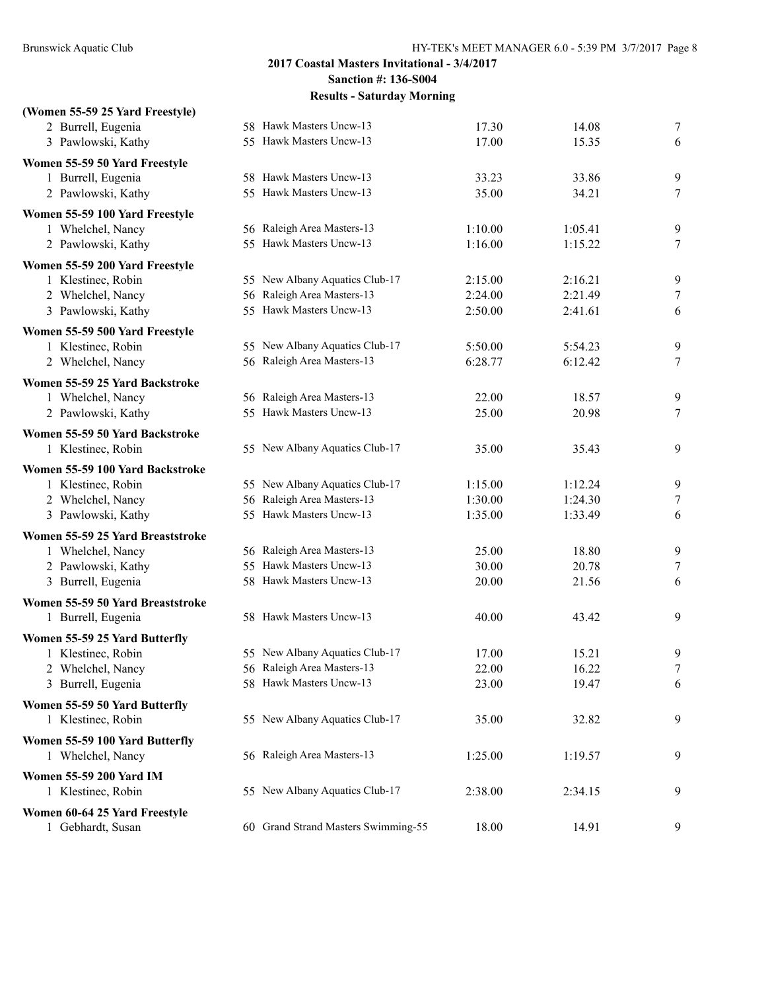| (Women 55-59 25 Yard Freestyle)         |                                     |         |         |                       |
|-----------------------------------------|-------------------------------------|---------|---------|-----------------------|
| 2 Burrell, Eugenia                      | 58 Hawk Masters Uncw-13             | 17.30   | 14.08   | 7                     |
| 3 Pawlowski, Kathy                      | 55 Hawk Masters Uncw-13             | 17.00   | 15.35   | 6                     |
| Women 55-59 50 Yard Freestyle           |                                     |         |         |                       |
| 1 Burrell, Eugenia                      | 58 Hawk Masters Uncw-13             | 33.23   | 33.86   | 9                     |
| 2 Pawlowski, Kathy                      | 55 Hawk Masters Uncw-13             | 35.00   | 34.21   | $\tau$                |
| Women 55-59 100 Yard Freestyle          |                                     |         |         |                       |
| 1 Whelchel, Nancy                       | 56 Raleigh Area Masters-13          | 1:10.00 | 1:05.41 | 9                     |
| 2 Pawlowski, Kathy                      | 55 Hawk Masters Uncw-13             | 1:16.00 | 1:15.22 | $\tau$                |
| Women 55-59 200 Yard Freestyle          |                                     |         |         |                       |
| 1 Klestinec, Robin                      | 55 New Albany Aquatics Club-17      | 2:15.00 | 2:16.21 | 9                     |
| 2 Whelchel, Nancy                       | 56 Raleigh Area Masters-13          | 2:24.00 | 2:21.49 | 7                     |
| 3 Pawlowski, Kathy                      | 55 Hawk Masters Uncw-13             | 2:50.00 | 2:41.61 | 6                     |
| Women 55-59 500 Yard Freestyle          |                                     |         |         |                       |
| 1 Klestinec, Robin                      | 55 New Albany Aquatics Club-17      | 5:50.00 | 5:54.23 | 9                     |
| 2 Whelchel, Nancy                       | 56 Raleigh Area Masters-13          | 6:28.77 | 6:12.42 | $\tau$                |
| Women 55-59 25 Yard Backstroke          |                                     |         |         |                       |
| 1 Whelchel, Nancy                       | 56 Raleigh Area Masters-13          | 22.00   | 18.57   | 9                     |
| 2 Pawlowski, Kathy                      | 55 Hawk Masters Uncw-13             | 25.00   | 20.98   | $\tau$                |
| Women 55-59 50 Yard Backstroke          |                                     |         |         |                       |
| 1 Klestinec, Robin                      | 55 New Albany Aquatics Club-17      | 35.00   | 35.43   | 9                     |
|                                         |                                     |         |         |                       |
| Women 55-59 100 Yard Backstroke         | 55 New Albany Aquatics Club-17      | 1:15.00 | 1:12.24 |                       |
| 1 Klestinec, Robin<br>2 Whelchel, Nancy | 56 Raleigh Area Masters-13          | 1:30.00 | 1:24.30 | 9<br>$\boldsymbol{7}$ |
| 3 Pawlowski, Kathy                      | 55 Hawk Masters Uncw-13             | 1:35.00 | 1:33.49 | 6                     |
|                                         |                                     |         |         |                       |
| Women 55-59 25 Yard Breaststroke        | 56 Raleigh Area Masters-13          | 25.00   | 18.80   |                       |
| 1 Whelchel, Nancy<br>2 Pawlowski, Kathy | 55 Hawk Masters Uncw-13             | 30.00   | 20.78   | 9<br>$\tau$           |
| 3 Burrell, Eugenia                      | 58 Hawk Masters Uncw-13             | 20.00   | 21.56   | 6                     |
|                                         |                                     |         |         |                       |
| Women 55-59 50 Yard Breaststroke        | 58 Hawk Masters Uncw-13             |         |         | 9                     |
| 1 Burrell, Eugenia                      |                                     | 40.00   | 43.42   |                       |
| Women 55-59 25 Yard Butterfly           |                                     |         |         |                       |
| 1 Klestinec, Robin                      | 55 New Albany Aquatics Club-17      | 17.00   | 15.21   | 9                     |
| 2 Whelchel, Nancy                       | 56 Raleigh Area Masters-13          | 22.00   | 16.22   | 7                     |
| 3 Burrell, Eugenia                      | 58 Hawk Masters Uncw-13             | 23.00   | 19.47   | 6                     |
| Women 55-59 50 Yard Butterfly           |                                     |         |         |                       |
| 1 Klestinec, Robin                      | 55 New Albany Aquatics Club-17      | 35.00   | 32.82   | 9                     |
| Women 55-59 100 Yard Butterfly          |                                     |         |         |                       |
| 1 Whelchel, Nancy                       | 56 Raleigh Area Masters-13          | 1:25.00 | 1:19.57 | 9                     |
| Women 55-59 200 Yard IM                 |                                     |         |         |                       |
| 1 Klestinec, Robin                      | 55 New Albany Aquatics Club-17      | 2:38.00 | 2:34.15 | 9                     |
| Women 60-64 25 Yard Freestyle           |                                     |         |         |                       |
| 1 Gebhardt, Susan                       | 60 Grand Strand Masters Swimming-55 | 18.00   | 14.91   | 9                     |
|                                         |                                     |         |         |                       |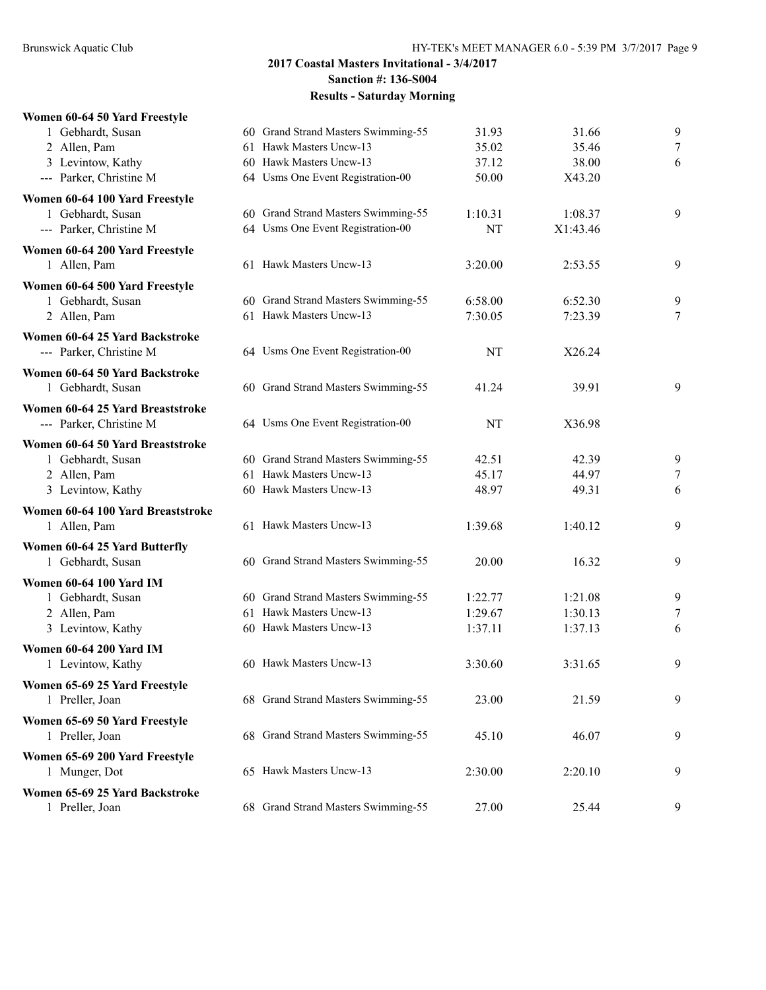#### **Women 60-64 50 Yard Freestyle**

| 1 Gebhardt, Susan                 | 60 Grand Strand Masters Swimming-55 | 31.93   | 31.66    | 9                |
|-----------------------------------|-------------------------------------|---------|----------|------------------|
| 2 Allen, Pam                      | 61 Hawk Masters Uncw-13             | 35.02   | 35.46    | $\boldsymbol{7}$ |
| 3 Levintow, Kathy                 | 60 Hawk Masters Uncw-13             | 37.12   | 38.00    | 6                |
| --- Parker, Christine M           | 64 Usms One Event Registration-00   | 50.00   | X43.20   |                  |
| Women 60-64 100 Yard Freestyle    |                                     |         |          |                  |
| 1 Gebhardt, Susan                 | 60 Grand Strand Masters Swimming-55 | 1:10.31 | 1:08.37  | 9                |
| --- Parker, Christine M           | 64 Usms One Event Registration-00   | NT      | X1:43.46 |                  |
| Women 60-64 200 Yard Freestyle    |                                     |         |          |                  |
| 1 Allen, Pam                      | 61 Hawk Masters Uncw-13             | 3:20.00 | 2:53.55  | 9                |
| Women 60-64 500 Yard Freestyle    |                                     |         |          |                  |
| 1 Gebhardt, Susan                 | 60 Grand Strand Masters Swimming-55 | 6:58.00 | 6:52.30  | 9                |
| 2 Allen, Pam                      | 61 Hawk Masters Uncw-13             | 7:30.05 | 7:23.39  | 7                |
| Women 60-64 25 Yard Backstroke    |                                     |         |          |                  |
| --- Parker, Christine M           | 64 Usms One Event Registration-00   | NT      | X26.24   |                  |
| Women 60-64 50 Yard Backstroke    |                                     |         |          |                  |
| 1 Gebhardt, Susan                 | 60 Grand Strand Masters Swimming-55 | 41.24   | 39.91    | 9                |
| Women 60-64 25 Yard Breaststroke  |                                     |         |          |                  |
| --- Parker, Christine M           | 64 Usms One Event Registration-00   | NT      | X36.98   |                  |
| Women 60-64 50 Yard Breaststroke  |                                     |         |          |                  |
| 1 Gebhardt, Susan                 | 60 Grand Strand Masters Swimming-55 | 42.51   | 42.39    | 9                |
| 2 Allen, Pam                      | 61 Hawk Masters Uncw-13             | 45.17   | 44.97    | 7                |
| 3 Levintow, Kathy                 | 60 Hawk Masters Uncw-13             | 48.97   | 49.31    | 6                |
| Women 60-64 100 Yard Breaststroke |                                     |         |          |                  |
| 1 Allen, Pam                      | 61 Hawk Masters Uncw-13             | 1:39.68 | 1:40.12  | 9                |
| Women 60-64 25 Yard Butterfly     |                                     |         |          |                  |
| 1 Gebhardt, Susan                 | 60 Grand Strand Masters Swimming-55 | 20.00   | 16.32    | 9                |
| Women 60-64 100 Yard IM           |                                     |         |          |                  |
| 1 Gebhardt, Susan                 | 60 Grand Strand Masters Swimming-55 | 1:22.77 | 1:21.08  | 9                |
| 2 Allen, Pam                      | 61 Hawk Masters Uncw-13             | 1:29.67 | 1:30.13  | 7                |
| 3 Levintow, Kathy                 | 60 Hawk Masters Uncw-13             | 1:37.11 | 1:37.13  | 6                |
| <b>Women 60-64 200 Yard IM</b>    |                                     |         |          |                  |
| 1 Levintow, Kathy                 | 60 Hawk Masters Uncw-13             | 3:30.60 | 3:31.65  | 9                |
| Women 65-69 25 Yard Freestyle     |                                     |         |          |                  |
| 1 Preller, Joan                   | 68 Grand Strand Masters Swimming-55 | 23.00   | 21.59    | 9                |
| Women 65-69 50 Yard Freestyle     |                                     |         |          |                  |
| 1 Preller, Joan                   | 68 Grand Strand Masters Swimming-55 | 45.10   | 46.07    | 9                |
| Women 65-69 200 Yard Freestyle    |                                     |         |          |                  |
| 1 Munger, Dot                     | 65 Hawk Masters Uncw-13             | 2:30.00 | 2:20.10  | 9                |
| Women 65-69 25 Yard Backstroke    |                                     |         |          |                  |
| 1 Preller, Joan                   | 68 Grand Strand Masters Swimming-55 | 27.00   | 25.44    | 9                |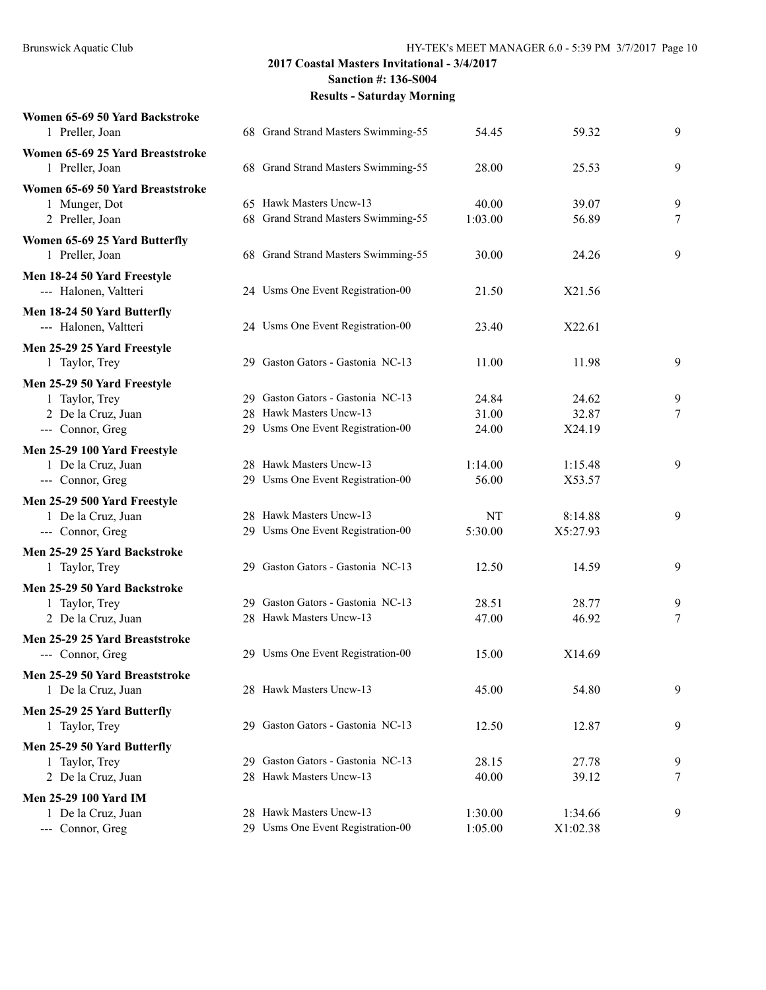|  | 54.45                                                                                                                                                                                                                                                                                                                                                                                                                                                                                                                                                                                                                                                                                                                                                                                                                                                                             | 59.32    | 9     |
|--|-----------------------------------------------------------------------------------------------------------------------------------------------------------------------------------------------------------------------------------------------------------------------------------------------------------------------------------------------------------------------------------------------------------------------------------------------------------------------------------------------------------------------------------------------------------------------------------------------------------------------------------------------------------------------------------------------------------------------------------------------------------------------------------------------------------------------------------------------------------------------------------|----------|-------|
|  |                                                                                                                                                                                                                                                                                                                                                                                                                                                                                                                                                                                                                                                                                                                                                                                                                                                                                   |          |       |
|  | 28.00                                                                                                                                                                                                                                                                                                                                                                                                                                                                                                                                                                                                                                                                                                                                                                                                                                                                             | 25.53    | 9     |
|  |                                                                                                                                                                                                                                                                                                                                                                                                                                                                                                                                                                                                                                                                                                                                                                                                                                                                                   |          |       |
|  | 40.00                                                                                                                                                                                                                                                                                                                                                                                                                                                                                                                                                                                                                                                                                                                                                                                                                                                                             | 39.07    | 9     |
|  | 1:03.00                                                                                                                                                                                                                                                                                                                                                                                                                                                                                                                                                                                                                                                                                                                                                                                                                                                                           | 56.89    | 7     |
|  |                                                                                                                                                                                                                                                                                                                                                                                                                                                                                                                                                                                                                                                                                                                                                                                                                                                                                   |          |       |
|  | 30.00                                                                                                                                                                                                                                                                                                                                                                                                                                                                                                                                                                                                                                                                                                                                                                                                                                                                             | 24.26    | 9     |
|  |                                                                                                                                                                                                                                                                                                                                                                                                                                                                                                                                                                                                                                                                                                                                                                                                                                                                                   |          |       |
|  | 21.50                                                                                                                                                                                                                                                                                                                                                                                                                                                                                                                                                                                                                                                                                                                                                                                                                                                                             | X21.56   |       |
|  |                                                                                                                                                                                                                                                                                                                                                                                                                                                                                                                                                                                                                                                                                                                                                                                                                                                                                   |          |       |
|  | 23.40                                                                                                                                                                                                                                                                                                                                                                                                                                                                                                                                                                                                                                                                                                                                                                                                                                                                             | X22.61   |       |
|  |                                                                                                                                                                                                                                                                                                                                                                                                                                                                                                                                                                                                                                                                                                                                                                                                                                                                                   |          |       |
|  | 11.00                                                                                                                                                                                                                                                                                                                                                                                                                                                                                                                                                                                                                                                                                                                                                                                                                                                                             | 11.98    | 9     |
|  |                                                                                                                                                                                                                                                                                                                                                                                                                                                                                                                                                                                                                                                                                                                                                                                                                                                                                   |          |       |
|  | 24.84                                                                                                                                                                                                                                                                                                                                                                                                                                                                                                                                                                                                                                                                                                                                                                                                                                                                             | 24.62    | 9     |
|  | 31.00                                                                                                                                                                                                                                                                                                                                                                                                                                                                                                                                                                                                                                                                                                                                                                                                                                                                             | 32.87    | 7     |
|  | 24.00                                                                                                                                                                                                                                                                                                                                                                                                                                                                                                                                                                                                                                                                                                                                                                                                                                                                             | X24.19   |       |
|  |                                                                                                                                                                                                                                                                                                                                                                                                                                                                                                                                                                                                                                                                                                                                                                                                                                                                                   |          |       |
|  | 1:14.00                                                                                                                                                                                                                                                                                                                                                                                                                                                                                                                                                                                                                                                                                                                                                                                                                                                                           | 1:15.48  | 9     |
|  | 56.00                                                                                                                                                                                                                                                                                                                                                                                                                                                                                                                                                                                                                                                                                                                                                                                                                                                                             | X53.57   |       |
|  |                                                                                                                                                                                                                                                                                                                                                                                                                                                                                                                                                                                                                                                                                                                                                                                                                                                                                   |          |       |
|  | NT                                                                                                                                                                                                                                                                                                                                                                                                                                                                                                                                                                                                                                                                                                                                                                                                                                                                                | 8:14.88  | 9     |
|  | 5:30.00                                                                                                                                                                                                                                                                                                                                                                                                                                                                                                                                                                                                                                                                                                                                                                                                                                                                           | X5:27.93 |       |
|  |                                                                                                                                                                                                                                                                                                                                                                                                                                                                                                                                                                                                                                                                                                                                                                                                                                                                                   |          |       |
|  | 12.50                                                                                                                                                                                                                                                                                                                                                                                                                                                                                                                                                                                                                                                                                                                                                                                                                                                                             | 14.59    | 9     |
|  |                                                                                                                                                                                                                                                                                                                                                                                                                                                                                                                                                                                                                                                                                                                                                                                                                                                                                   |          |       |
|  | 28.51                                                                                                                                                                                                                                                                                                                                                                                                                                                                                                                                                                                                                                                                                                                                                                                                                                                                             | 28.77    | 9     |
|  | 47.00                                                                                                                                                                                                                                                                                                                                                                                                                                                                                                                                                                                                                                                                                                                                                                                                                                                                             | 46.92    | 7     |
|  |                                                                                                                                                                                                                                                                                                                                                                                                                                                                                                                                                                                                                                                                                                                                                                                                                                                                                   |          |       |
|  | 15.00                                                                                                                                                                                                                                                                                                                                                                                                                                                                                                                                                                                                                                                                                                                                                                                                                                                                             | X14.69   |       |
|  |                                                                                                                                                                                                                                                                                                                                                                                                                                                                                                                                                                                                                                                                                                                                                                                                                                                                                   |          |       |
|  | 45.00                                                                                                                                                                                                                                                                                                                                                                                                                                                                                                                                                                                                                                                                                                                                                                                                                                                                             | 54.80    | 9     |
|  |                                                                                                                                                                                                                                                                                                                                                                                                                                                                                                                                                                                                                                                                                                                                                                                                                                                                                   |          |       |
|  | 12.50                                                                                                                                                                                                                                                                                                                                                                                                                                                                                                                                                                                                                                                                                                                                                                                                                                                                             | 12.87    | 9     |
|  |                                                                                                                                                                                                                                                                                                                                                                                                                                                                                                                                                                                                                                                                                                                                                                                                                                                                                   |          |       |
|  |                                                                                                                                                                                                                                                                                                                                                                                                                                                                                                                                                                                                                                                                                                                                                                                                                                                                                   |          | 9     |
|  | 40.00                                                                                                                                                                                                                                                                                                                                                                                                                                                                                                                                                                                                                                                                                                                                                                                                                                                                             | 39.12    | 7     |
|  |                                                                                                                                                                                                                                                                                                                                                                                                                                                                                                                                                                                                                                                                                                                                                                                                                                                                                   |          |       |
|  | 1:30.00                                                                                                                                                                                                                                                                                                                                                                                                                                                                                                                                                                                                                                                                                                                                                                                                                                                                           | 1:34.66  | 9     |
|  | 1:05.00                                                                                                                                                                                                                                                                                                                                                                                                                                                                                                                                                                                                                                                                                                                                                                                                                                                                           | X1:02.38 |       |
|  | 68 Grand Strand Masters Swimming-55<br>68 Grand Strand Masters Swimming-55<br>65 Hawk Masters Uncw-13<br>68 Grand Strand Masters Swimming-55<br>68 Grand Strand Masters Swimming-55<br>24 Usms One Event Registration-00<br>24 Usms One Event Registration-00<br>29 Gaston Gators - Gastonia NC-13<br>29 Gaston Gators - Gastonia NC-13<br>28 Hawk Masters Uncw-13<br>29 Usms One Event Registration-00<br>28 Hawk Masters Uncw-13<br>29 Usms One Event Registration-00<br>28 Hawk Masters Uncw-13<br>29 Usms One Event Registration-00<br>29 Gaston Gators - Gastonia NC-13<br>29 Gaston Gators - Gastonia NC-13<br>28 Hawk Masters Uncw-13<br>29 Usms One Event Registration-00<br>28 Hawk Masters Uncw-13<br>29 Gaston Gators - Gastonia NC-13<br>29 Gaston Gators - Gastonia NC-13<br>28 Hawk Masters Uncw-13<br>28 Hawk Masters Uncw-13<br>29 Usms One Event Registration-00 | 28.15    | 27.78 |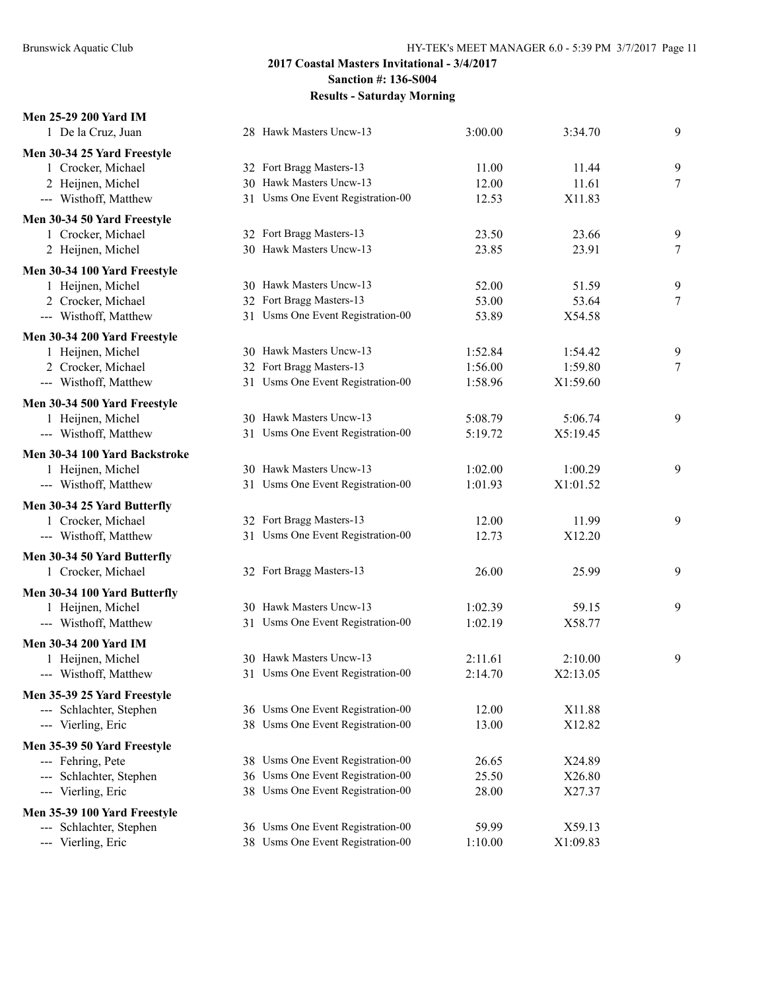| Men 25-29 200 Yard IM         |                                   |         |          |   |
|-------------------------------|-----------------------------------|---------|----------|---|
| 1 De la Cruz, Juan            | 28 Hawk Masters Uncw-13           | 3:00.00 | 3:34.70  | 9 |
| Men 30-34 25 Yard Freestyle   |                                   |         |          |   |
| 1 Crocker, Michael            | 32 Fort Bragg Masters-13          | 11.00   | 11.44    | 9 |
| 2 Heijnen, Michel             | 30 Hawk Masters Uncw-13           | 12.00   | 11.61    | 7 |
| --- Wisthoff, Matthew         | 31 Usms One Event Registration-00 | 12.53   | X11.83   |   |
| Men 30-34 50 Yard Freestyle   |                                   |         |          |   |
| 1 Crocker, Michael            | 32 Fort Bragg Masters-13          | 23.50   | 23.66    | 9 |
| 2 Heijnen, Michel             | 30 Hawk Masters Uncw-13           | 23.85   | 23.91    | 7 |
| Men 30-34 100 Yard Freestyle  |                                   |         |          |   |
| 1 Heijnen, Michel             | 30 Hawk Masters Uncw-13           | 52.00   | 51.59    | 9 |
| 2 Crocker, Michael            | 32 Fort Bragg Masters-13          | 53.00   | 53.64    | 7 |
| --- Wisthoff, Matthew         | 31 Usms One Event Registration-00 | 53.89   | X54.58   |   |
| Men 30-34 200 Yard Freestyle  |                                   |         |          |   |
| 1 Heijnen, Michel             | 30 Hawk Masters Uncw-13           | 1:52.84 | 1:54.42  | 9 |
| 2 Crocker, Michael            | 32 Fort Bragg Masters-13          | 1:56.00 | 1:59.80  | 7 |
| --- Wisthoff, Matthew         | 31 Usms One Event Registration-00 | 1:58.96 | X1:59.60 |   |
| Men 30-34 500 Yard Freestyle  |                                   |         |          |   |
| 1 Heijnen, Michel             | 30 Hawk Masters Uncw-13           | 5:08.79 | 5:06.74  | 9 |
| --- Wisthoff, Matthew         | 31 Usms One Event Registration-00 | 5:19.72 | X5:19.45 |   |
| Men 30-34 100 Yard Backstroke |                                   |         |          |   |
| 1 Heijnen, Michel             | 30 Hawk Masters Uncw-13           | 1:02.00 | 1:00.29  | 9 |
| --- Wisthoff, Matthew         | 31 Usms One Event Registration-00 | 1:01.93 | X1:01.52 |   |
| Men 30-34 25 Yard Butterfly   |                                   |         |          |   |
| 1 Crocker, Michael            | 32 Fort Bragg Masters-13          | 12.00   | 11.99    | 9 |
| --- Wisthoff, Matthew         | 31 Usms One Event Registration-00 | 12.73   | X12.20   |   |
| Men 30-34 50 Yard Butterfly   |                                   |         |          |   |
| 1 Crocker, Michael            | 32 Fort Bragg Masters-13          | 26.00   | 25.99    | 9 |
| Men 30-34 100 Yard Butterfly  |                                   |         |          |   |
| 1 Heijnen, Michel             | 30 Hawk Masters Uncw-13           | 1:02.39 | 59.15    | 9 |
| --- Wisthoff, Matthew         | 31 Usms One Event Registration-00 | 1:02.19 | X58.77   |   |
| <b>Men 30-34 200 Yard IM</b>  |                                   |         |          |   |
| 1 Heijnen, Michel             | 30 Hawk Masters Uncw-13           | 2:11.61 | 2:10.00  | 9 |
| --- Wisthoff, Matthew         | 31 Usms One Event Registration-00 | 2:14.70 | X2:13.05 |   |
| Men 35-39 25 Yard Freestyle   |                                   |         |          |   |
| --- Schlachter, Stephen       | 36 Usms One Event Registration-00 | 12.00   | X11.88   |   |
| --- Vierling, Eric            | 38 Usms One Event Registration-00 | 13.00   | X12.82   |   |
| Men 35-39 50 Yard Freestyle   |                                   |         |          |   |
| --- Fehring, Pete             | 38 Usms One Event Registration-00 | 26.65   | X24.89   |   |
| --- Schlachter, Stephen       | 36 Usms One Event Registration-00 | 25.50   | X26.80   |   |
| --- Vierling, Eric            | 38 Usms One Event Registration-00 | 28.00   | X27.37   |   |
| Men 35-39 100 Yard Freestyle  |                                   |         |          |   |
| --- Schlachter, Stephen       | 36 Usms One Event Registration-00 | 59.99   | X59.13   |   |
| --- Vierling, Eric            | 38 Usms One Event Registration-00 | 1:10.00 | X1:09.83 |   |
|                               |                                   |         |          |   |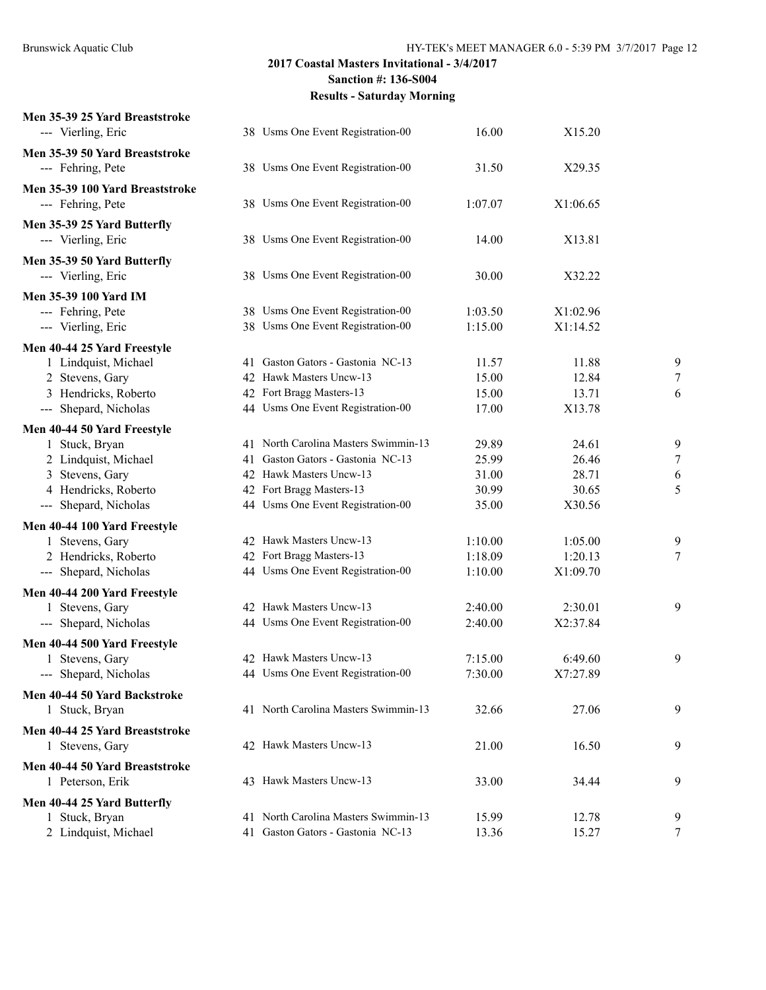| Men 35-39 25 Yard Breaststroke<br>--- Vierling, Eric |    | 38 Usms One Event Registration-00    | 16.00   | X15.20   |                |
|------------------------------------------------------|----|--------------------------------------|---------|----------|----------------|
| Men 35-39 50 Yard Breaststroke                       |    |                                      |         |          |                |
| --- Fehring, Pete                                    |    | 38 Usms One Event Registration-00    | 31.50   | X29.35   |                |
| Men 35-39 100 Yard Breaststroke                      |    |                                      |         |          |                |
| --- Fehring, Pete                                    |    | 38 Usms One Event Registration-00    | 1:07.07 | X1:06.65 |                |
| Men 35-39 25 Yard Butterfly                          |    |                                      |         |          |                |
| --- Vierling, Eric                                   |    | 38 Usms One Event Registration-00    | 14.00   | X13.81   |                |
| Men 35-39 50 Yard Butterfly                          |    |                                      |         |          |                |
| --- Vierling, Eric                                   |    | 38 Usms One Event Registration-00    | 30.00   | X32.22   |                |
| <b>Men 35-39 100 Yard IM</b>                         |    |                                      |         |          |                |
| --- Fehring, Pete                                    |    | 38 Usms One Event Registration-00    | 1:03.50 | X1:02.96 |                |
| --- Vierling, Eric                                   |    | 38 Usms One Event Registration-00    | 1:15.00 | X1:14.52 |                |
| Men 40-44 25 Yard Freestyle                          |    |                                      |         |          |                |
| 1 Lindquist, Michael                                 |    | 41 Gaston Gators - Gastonia NC-13    | 11.57   | 11.88    | 9              |
| 2 Stevens, Gary                                      |    | 42 Hawk Masters Uncw-13              | 15.00   | 12.84    | 7              |
| 3 Hendricks, Roberto                                 |    | 42 Fort Bragg Masters-13             | 15.00   | 13.71    | 6              |
| --- Shepard, Nicholas                                |    | 44 Usms One Event Registration-00    | 17.00   | X13.78   |                |
| Men 40-44 50 Yard Freestyle                          |    |                                      |         |          |                |
| 1 Stuck, Bryan                                       |    | 41 North Carolina Masters Swimmin-13 | 29.89   | 24.61    | 9              |
| 2 Lindquist, Michael                                 | 41 | Gaston Gators - Gastonia NC-13       | 25.99   | 26.46    | $\overline{7}$ |
| 3 Stevens, Gary                                      |    | 42 Hawk Masters Uncw-13              | 31.00   | 28.71    | 6              |
| 4 Hendricks, Roberto                                 |    | 42 Fort Bragg Masters-13             | 30.99   | 30.65    | 5              |
| --- Shepard, Nicholas                                |    | 44 Usms One Event Registration-00    | 35.00   | X30.56   |                |
| Men 40-44 100 Yard Freestyle                         |    |                                      |         |          |                |
| 1 Stevens, Gary                                      |    | 42 Hawk Masters Uncw-13              | 1:10.00 | 1:05.00  | 9              |
| 2 Hendricks, Roberto                                 |    | 42 Fort Bragg Masters-13             | 1:18.09 | 1:20.13  | 7              |
| --- Shepard, Nicholas                                |    | 44 Usms One Event Registration-00    | 1:10.00 | X1:09.70 |                |
| Men 40-44 200 Yard Freestyle                         |    |                                      |         |          |                |
| 1 Stevens, Gary                                      |    | 42 Hawk Masters Uncw-13              | 2:40.00 | 2:30.01  | 9              |
| --- Shepard, Nicholas                                |    | 44 Usms One Event Registration-00    | 2:40.00 | X2:37.84 |                |
| Men 40-44 500 Yard Freestyle                         |    |                                      |         |          |                |
| 1 Stevens, Gary                                      |    | 42 Hawk Masters Uncw-13              | 7:15.00 | 6:49.60  | 9              |
| --- Shepard, Nicholas                                |    | 44 Usms One Event Registration-00    | 7:30.00 | X7:27.89 |                |
| Men 40-44 50 Yard Backstroke                         |    |                                      |         |          |                |
| 1 Stuck, Bryan                                       |    | 41 North Carolina Masters Swimmin-13 | 32.66   | 27.06    | 9              |
| Men 40-44 25 Yard Breaststroke                       |    |                                      |         |          |                |
| 1 Stevens, Gary                                      |    | 42 Hawk Masters Uncw-13              | 21.00   | 16.50    | 9              |
| Men 40-44 50 Yard Breaststroke                       |    |                                      |         |          |                |
| 1 Peterson, Erik                                     |    | 43 Hawk Masters Uncw-13              | 33.00   | 34.44    | 9              |
| Men 40-44 25 Yard Butterfly                          |    |                                      |         |          |                |
| 1 Stuck, Bryan                                       |    | 41 North Carolina Masters Swimmin-13 | 15.99   | 12.78    | 9              |
| 2 Lindquist, Michael                                 |    | 41 Gaston Gators - Gastonia NC-13    | 13.36   | 15.27    | 7              |
|                                                      |    |                                      |         |          |                |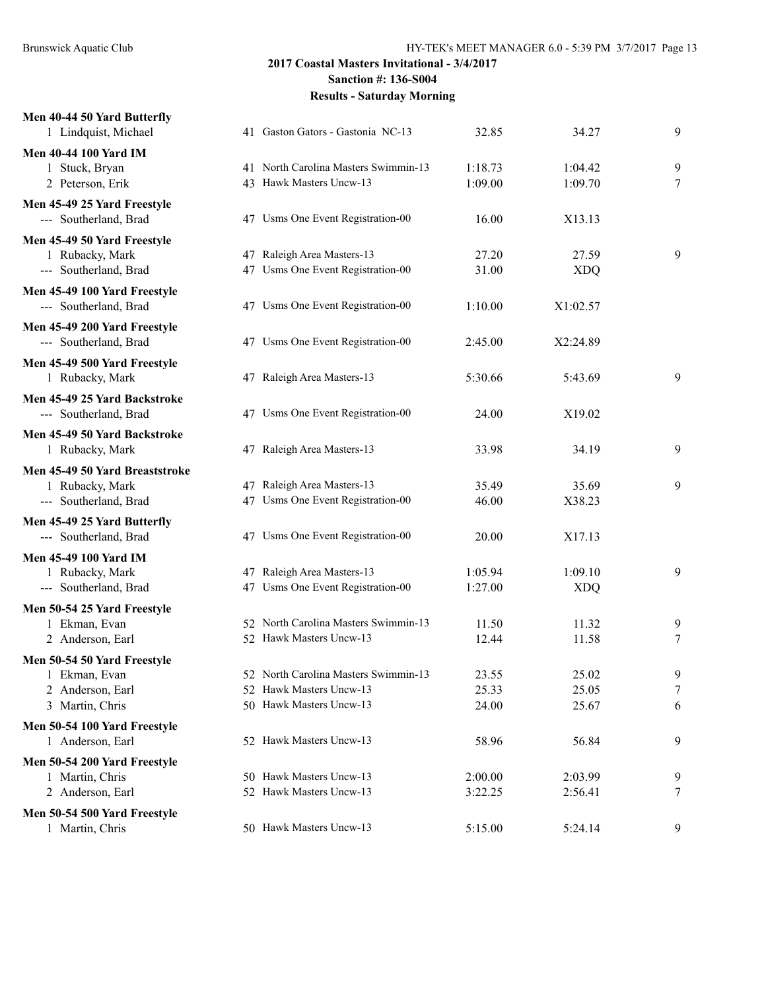| Men 40-44 50 Yard Butterfly<br>1 Lindquist, Michael  | 41 Gaston Gators - Gastonia NC-13    | 32.85   | 34.27      | 9      |
|------------------------------------------------------|--------------------------------------|---------|------------|--------|
| <b>Men 40-44 100 Yard IM</b>                         |                                      |         |            |        |
| 1 Stuck, Bryan                                       | 41 North Carolina Masters Swimmin-13 | 1:18.73 | 1:04.42    | 9      |
| 2 Peterson, Erik                                     | 43 Hawk Masters Uncw-13              | 1:09.00 | 1:09.70    | $\tau$ |
| Men 45-49 25 Yard Freestyle<br>--- Southerland, Brad | 47 Usms One Event Registration-00    | 16.00   | X13.13     |        |
| Men 45-49 50 Yard Freestyle                          |                                      |         |            |        |
| 1 Rubacky, Mark                                      | 47 Raleigh Area Masters-13           | 27.20   | 27.59      | 9      |
| --- Southerland, Brad                                | 47 Usms One Event Registration-00    | 31.00   | <b>XDQ</b> |        |
| Men 45-49 100 Yard Freestyle                         |                                      |         |            |        |
| --- Southerland, Brad                                | 47 Usms One Event Registration-00    | 1:10.00 | X1:02.57   |        |
| Men 45-49 200 Yard Freestyle                         |                                      |         |            |        |
| --- Southerland, Brad                                | 47 Usms One Event Registration-00    | 2:45.00 | X2:24.89   |        |
| Men 45-49 500 Yard Freestyle                         |                                      |         |            |        |
| 1 Rubacky, Mark                                      | 47 Raleigh Area Masters-13           | 5:30.66 | 5:43.69    | 9      |
| Men 45-49 25 Yard Backstroke                         |                                      |         |            |        |
| --- Southerland, Brad                                | 47 Usms One Event Registration-00    | 24.00   | X19.02     |        |
| Men 45-49 50 Yard Backstroke                         |                                      |         |            |        |
| 1 Rubacky, Mark                                      | 47 Raleigh Area Masters-13           | 33.98   | 34.19      | 9      |
| Men 45-49 50 Yard Breaststroke                       |                                      |         |            |        |
| 1 Rubacky, Mark                                      | 47 Raleigh Area Masters-13           | 35.49   | 35.69      | 9      |
| --- Southerland, Brad                                | 47 Usms One Event Registration-00    | 46.00   | X38.23     |        |
| Men 45-49 25 Yard Butterfly                          |                                      |         |            |        |
| --- Southerland, Brad                                | 47 Usms One Event Registration-00    | 20.00   | X17.13     |        |
| <b>Men 45-49 100 Yard IM</b>                         |                                      |         |            |        |
| 1 Rubacky, Mark                                      | 47 Raleigh Area Masters-13           | 1:05.94 | 1:09.10    | 9      |
| --- Southerland, Brad                                | 47 Usms One Event Registration-00    | 1:27.00 | <b>XDQ</b> |        |
| Men 50-54 25 Yard Freestyle                          |                                      |         |            |        |
| 1 Ekman, Evan                                        | 52 North Carolina Masters Swimmin-13 | 11.50   | 11.32      | 9      |
| 2 Anderson, Earl                                     | 52 Hawk Masters Uncw-13              | 12.44   | 11.58      | 7      |
| Men 50-54 50 Yard Freestyle                          |                                      |         |            |        |
| 1 Ekman, Evan                                        | 52 North Carolina Masters Swimmin-13 | 23.55   | 25.02      | 9      |
| 2 Anderson, Earl                                     | 52 Hawk Masters Uncw-13              | 25.33   | 25.05      | 7      |
| 3 Martin, Chris                                      | 50 Hawk Masters Uncw-13              | 24.00   | 25.67      | 6      |
| Men 50-54 100 Yard Freestyle                         |                                      |         |            |        |
| 1 Anderson, Earl                                     | 52 Hawk Masters Uncw-13              | 58.96   | 56.84      | 9      |
| Men 50-54 200 Yard Freestyle                         |                                      |         |            |        |
| 1 Martin, Chris                                      | 50 Hawk Masters Uncw-13              | 2:00.00 | 2:03.99    | 9      |
| 2 Anderson, Earl                                     | 52 Hawk Masters Uncw-13              | 3:22.25 | 2:56.41    | 7      |
| Men 50-54 500 Yard Freestyle                         |                                      |         |            |        |
| 1 Martin, Chris                                      | 50 Hawk Masters Uncw-13              | 5:15.00 | 5:24.14    | 9      |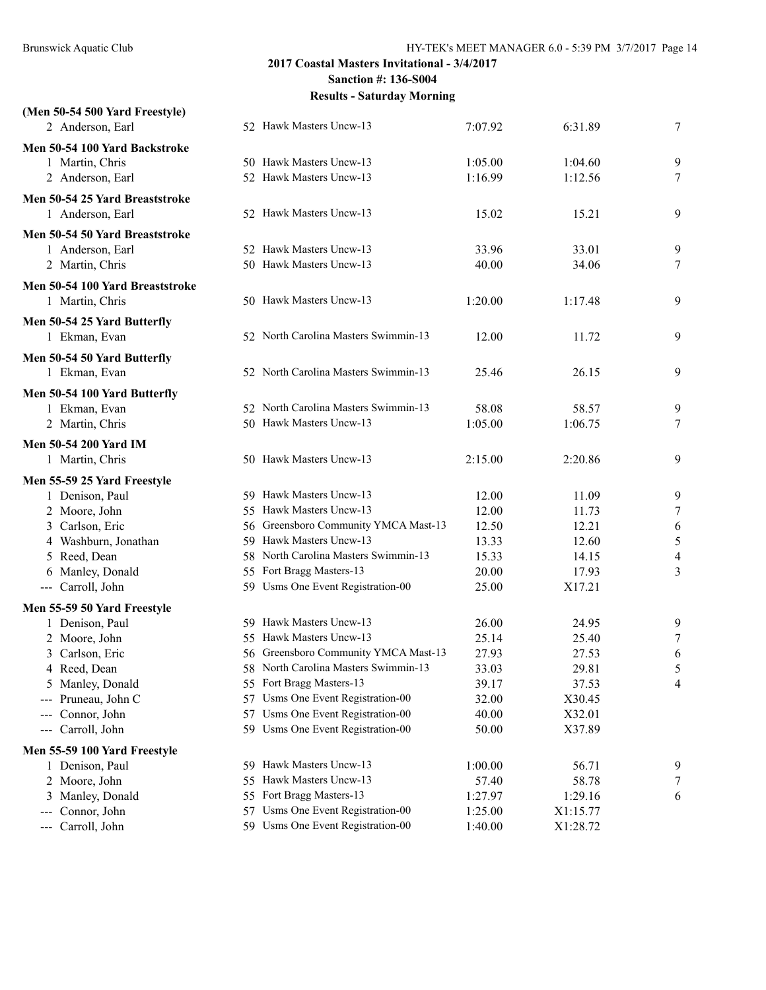| (Men 50-54 500 Yard Freestyle)               |     |                                                                     |                    |                      |                          |
|----------------------------------------------|-----|---------------------------------------------------------------------|--------------------|----------------------|--------------------------|
| 2 Anderson, Earl                             |     | 52 Hawk Masters Uncw-13                                             | 7:07.92            | 6:31.89              | 7                        |
| Men 50-54 100 Yard Backstroke                |     |                                                                     |                    |                      |                          |
| 1 Martin, Chris                              |     | 50 Hawk Masters Uncw-13                                             | 1:05.00            | 1:04.60              | 9                        |
| 2 Anderson, Earl                             |     | 52 Hawk Masters Uncw-13                                             | 1:16.99            | 1:12.56              | 7                        |
| Men 50-54 25 Yard Breaststroke               |     |                                                                     |                    |                      |                          |
| 1 Anderson, Earl                             |     | 52 Hawk Masters Uncw-13                                             | 15.02              | 15.21                | 9                        |
| Men 50-54 50 Yard Breaststroke               |     |                                                                     |                    |                      |                          |
| 1 Anderson, Earl                             |     | 52 Hawk Masters Uncw-13                                             | 33.96              | 33.01                | 9                        |
| 2 Martin, Chris                              |     | 50 Hawk Masters Uncw-13                                             | 40.00              | 34.06                | $\tau$                   |
| Men 50-54 100 Yard Breaststroke              |     |                                                                     |                    |                      |                          |
| 1 Martin, Chris                              |     | 50 Hawk Masters Uncw-13                                             | 1:20.00            | 1:17.48              | 9                        |
|                                              |     |                                                                     |                    |                      |                          |
| Men 50-54 25 Yard Butterfly<br>1 Ekman, Evan |     | 52 North Carolina Masters Swimmin-13                                | 12.00              | 11.72                | 9                        |
|                                              |     |                                                                     |                    |                      |                          |
| Men 50-54 50 Yard Butterfly                  |     |                                                                     |                    |                      |                          |
| 1 Ekman, Evan                                |     | 52 North Carolina Masters Swimmin-13                                | 25.46              | 26.15                | 9                        |
| Men 50-54 100 Yard Butterfly                 |     |                                                                     |                    |                      |                          |
| 1 Ekman, Evan                                |     | 52 North Carolina Masters Swimmin-13                                | 58.08              | 58.57                | 9                        |
| 2 Martin, Chris                              |     | 50 Hawk Masters Uncw-13                                             | 1:05.00            | 1:06.75              | 7                        |
| <b>Men 50-54 200 Yard IM</b>                 |     |                                                                     |                    |                      |                          |
| 1 Martin, Chris                              |     | 50 Hawk Masters Uncw-13                                             | 2:15.00            | 2:20.86              | 9                        |
| Men 55-59 25 Yard Freestyle                  |     |                                                                     |                    |                      |                          |
| 1 Denison, Paul                              |     | 59 Hawk Masters Uncw-13                                             | 12.00              | 11.09                | 9                        |
| 2 Moore, John                                |     | 55 Hawk Masters Uncw-13                                             | 12.00              | 11.73                | 7                        |
| 3 Carlson, Eric                              |     | 56 Greensboro Community YMCA Mast-13                                | 12.50              | 12.21                | 6                        |
| 4 Washburn, Jonathan                         |     | 59 Hawk Masters Uncw-13                                             | 13.33              | 12.60                | 5                        |
| 5 Reed, Dean                                 |     | 58 North Carolina Masters Swimmin-13                                | 15.33              | 14.15                | $\overline{\mathcal{A}}$ |
| 6 Manley, Donald                             |     | 55 Fort Bragg Masters-13                                            | 20.00              | 17.93                | 3                        |
| --- Carroll, John                            |     | 59 Usms One Event Registration-00                                   | 25.00              | X17.21               |                          |
| Men 55-59 50 Yard Freestyle                  |     |                                                                     |                    |                      |                          |
| 1 Denison, Paul                              |     | 59 Hawk Masters Uncw-13                                             | 26.00              | 24.95                | 9                        |
| 2 Moore, John                                |     | 55 Hawk Masters Uncw-13                                             | 25.14              | 25.40                | 7                        |
| 3 Carlson, Eric                              |     | 56 Greensboro Community YMCA Mast-13                                | 27.93              | 27.53                | 6                        |
| 4 Reed, Dean                                 |     | 58 North Carolina Masters Swimmin-13                                | 33.03              | 29.81                | 5                        |
| 5 Manley, Donald                             |     | 55 Fort Bragg Masters-13                                            | 39.17              | 37.53                | 4                        |
| Pruneau, John C<br>$\qquad \qquad - -$       | 57  | Usms One Event Registration-00                                      | 32.00              | X30.45               |                          |
| Connor, John<br>$\qquad \qquad - -$          | 57  | Usms One Event Registration-00                                      | 40.00              | X32.01               |                          |
| Carroll, John<br>$\qquad \qquad - -$         |     | 59 Usms One Event Registration-00                                   | 50.00              | X37.89               |                          |
| Men 55-59 100 Yard Freestyle                 |     |                                                                     |                    |                      |                          |
| 1 Denison, Paul                              |     | 59 Hawk Masters Uncw-13                                             | 1:00.00            | 56.71                | 9                        |
| 2 Moore, John                                | 55. | Hawk Masters Uncw-13                                                | 57.40              | 58.78                | 7                        |
| Manley, Donald<br>3                          |     | 55 Fort Bragg Masters-13                                            | 1:27.97            | 1:29.16              | 6                        |
| Connor, John<br>---<br>Carroll, John         | 57  | Usms One Event Registration-00<br>59 Usms One Event Registration-00 | 1:25.00<br>1:40.00 | X1:15.77<br>X1:28.72 |                          |
| ---                                          |     |                                                                     |                    |                      |                          |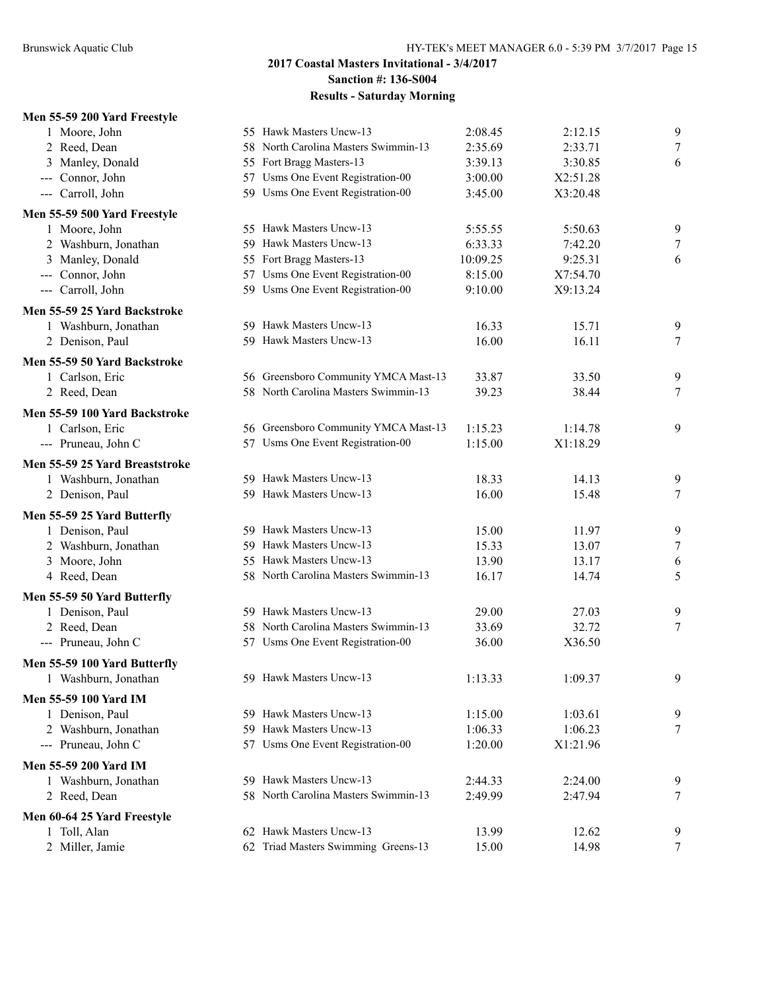#### **Men 55-59 200 Yard Freestyle**

| 1 Moore, John                           |     | 55 Hawk Masters Uncw-13                            | 2:08.45            | 2:12.15            | 9      |
|-----------------------------------------|-----|----------------------------------------------------|--------------------|--------------------|--------|
| 2 Reed, Dean                            |     | 58 North Carolina Masters Swimmin-13               | 2:35.69            | 2:33.71            | 7      |
| Manley, Donald<br>3                     |     | 55 Fort Bragg Masters-13                           | 3:39.13            | 3:30.85            | 6      |
| --- Connor, John                        |     | 57 Usms One Event Registration-00                  | 3:00.00            | X2:51.28           |        |
| --- Carroll, John                       |     | 59 Usms One Event Registration-00                  | 3:45.00            | X3:20.48           |        |
| Men 55-59 500 Yard Freestyle            |     |                                                    |                    |                    |        |
| 1 Moore, John                           |     | 55 Hawk Masters Uncw-13                            | 5:55.55            | 5:50.63            | 9      |
| 2 Washburn, Jonathan                    | 59. | Hawk Masters Uncw-13                               | 6:33.33            | 7:42.20            | $\tau$ |
| 3 Manley, Donald                        |     | 55 Fort Bragg Masters-13                           | 10:09.25           | 9:25.31            | 6      |
| --- Connor, John                        |     | 57 Usms One Event Registration-00                  | 8:15.00            | X7:54.70           |        |
| --- Carroll, John                       |     | 59 Usms One Event Registration-00                  | 9:10.00            | X9:13.24           |        |
| Men 55-59 25 Yard Backstroke            |     |                                                    |                    |                    |        |
| 1 Washburn, Jonathan                    |     | 59 Hawk Masters Uncw-13                            | 16.33              | 15.71              | 9      |
| 2 Denison, Paul                         |     | 59 Hawk Masters Uncw-13                            | 16.00              | 16.11              | 7      |
| Men 55-59 50 Yard Backstroke            |     |                                                    |                    |                    |        |
| 1 Carlson, Eric                         |     | 56 Greensboro Community YMCA Mast-13               | 33.87              | 33.50              | 9      |
| 2 Reed, Dean                            |     | 58 North Carolina Masters Swimmin-13               | 39.23              | 38.44              | $\tau$ |
| Men 55-59 100 Yard Backstroke           |     |                                                    |                    |                    |        |
| 1 Carlson, Eric                         |     | 56 Greensboro Community YMCA Mast-13               | 1:15.23            | 1:14.78            | 9      |
| --- Pruneau, John C                     |     | 57 Usms One Event Registration-00                  | 1:15.00            | X1:18.29           |        |
| Men 55-59 25 Yard Breaststroke          |     |                                                    |                    |                    |        |
| 1 Washburn, Jonathan                    |     | 59 Hawk Masters Uncw-13                            | 18.33              | 14.13              | 9      |
| 2 Denison, Paul                         |     | 59 Hawk Masters Uncw-13                            | 16.00              | 15.48              | 7      |
| Men 55-59 25 Yard Butterfly             |     |                                                    |                    |                    |        |
| 1 Denison, Paul                         |     | 59 Hawk Masters Uncw-13                            | 15.00              | 11.97              | 9      |
| 2 Washburn, Jonathan                    |     | 59 Hawk Masters Uncw-13                            | 15.33              | 13.07              | $\tau$ |
| 3 Moore, John                           |     | 55 Hawk Masters Uncw-13                            | 13.90              | 13.17              | 6      |
| 4 Reed, Dean                            |     | 58 North Carolina Masters Swimmin-13               | 16.17              | 14.74              | 5      |
| Men 55-59 50 Yard Butterfly             |     |                                                    |                    |                    |        |
| 1 Denison, Paul                         |     | 59 Hawk Masters Uncw-13                            | 29.00              | 27.03              | 9      |
| 2 Reed, Dean                            |     | 58 North Carolina Masters Swimmin-13               | 33.69              | 32.72              | 7      |
| --- Pruneau, John C                     |     | 57 Usms One Event Registration-00                  | 36.00              | X36.50             |        |
| Men 55-59 100 Yard Butterfly            |     |                                                    |                    |                    |        |
| 1 Washburn, Jonathan                    |     | 59 Hawk Masters Uncw-13                            | 1:13.33            | 1:09.37            | 9      |
|                                         |     |                                                    |                    |                    |        |
| <b>Men 55-59 100 Yard IM</b>            |     |                                                    |                    |                    |        |
| 1 Denison, Paul<br>2 Washburn, Jonathan |     | 59 Hawk Masters Uncw-13<br>59 Hawk Masters Uncw-13 | 1:15.00<br>1:06.33 | 1:03.61<br>1:06.23 | 9<br>7 |
| --- Pruneau, John C                     |     | 57 Usms One Event Registration-00                  | 1:20.00            | X1:21.96           |        |
|                                         |     |                                                    |                    |                    |        |
| <b>Men 55-59 200 Yard IM</b>            |     |                                                    |                    |                    |        |
| 1 Washburn, Jonathan                    | 59. | Hawk Masters Uncw-13                               | 2:44.33            | 2:24.00            | 9      |
| 2 Reed, Dean                            |     | 58 North Carolina Masters Swimmin-13               | 2:49.99            | 2:47.94            | 7      |
| Men 60-64 25 Yard Freestyle             |     |                                                    |                    |                    |        |
| 1 Toll, Alan                            |     | 62 Hawk Masters Uncw-13                            | 13.99              | 12.62              | 9      |
| 2 Miller, Jamie                         |     | 62 Triad Masters Swimming Greens-13                | 15.00              | 14.98              | 7      |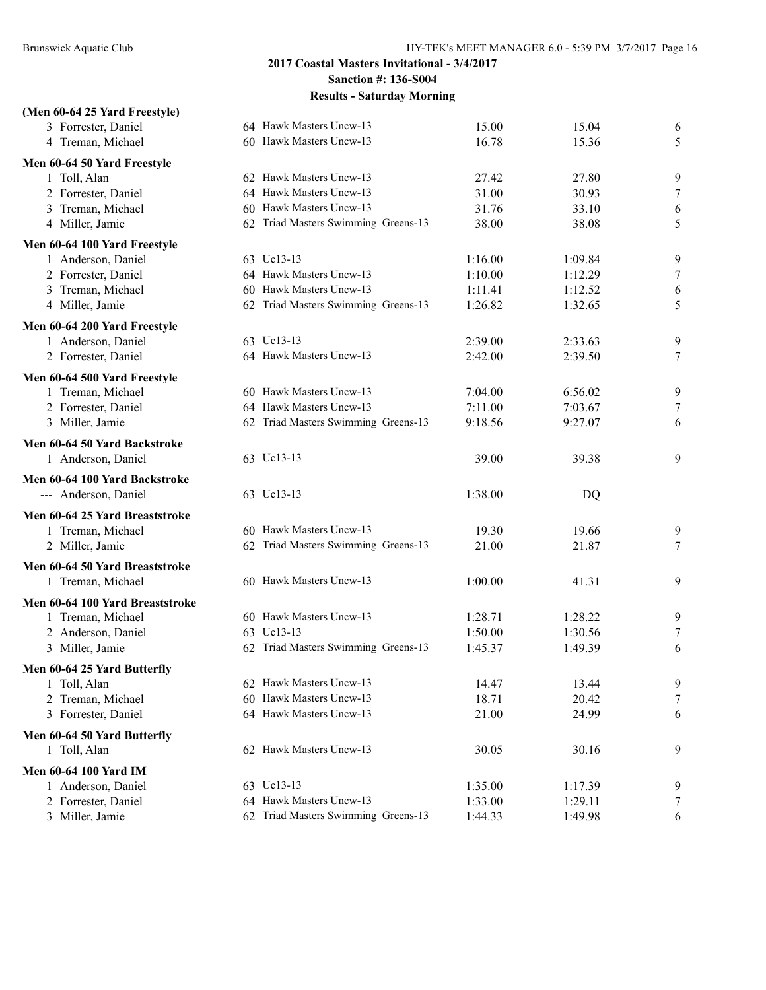# **(Men 60-64 25 Yard Freestyle)** 3 Forrester, Daniel 64 Hawk Masters Uncw-13 15.00 15.04 6 4 Treman, Michael 60 Hawk Masters Uncw-13 16.78 15.36 5 **Men 60-64 50 Yard Freestyle** 1 Toll, Alan 62 Hawk Masters Uncw-13 27.42 27.80 9 2 Forrester, Daniel 64 Hawk Masters Uncw-13 31.00 30.93 7 3 Treman, Michael 60 Hawk Masters Uncw-13 31.76 33.10 6 4 Miller, Jamie 62 Triad Masters Swimming Greens-13 38.00 38.08 5 **Men 60-64 100 Yard Freestyle** 1 Anderson, Daniel 63 Uc13-13 1:16.00 1:09.84 9 2 Forrester, Daniel 64 Hawk Masters Uncw-13 1:10.00 1:12.29 7 3 Treman, Michael 60 Hawk Masters Uncw-13 1:11.41 1:12.52 6 4 Miller, Jamie 62 Triad Masters Swimming Greens-13 1:26.82 1:32.65 5 **Men 60-64 200 Yard Freestyle** 1 Anderson, Daniel 63 Uc13-13 2:39.00 2:33.63 9 2 Forrester, Daniel 64 Hawk Masters Uncw-13 2:42.00 2:39.50 7 **Men 60-64 500 Yard Freestyle** 1 Treman, Michael 60 Hawk Masters Uncw-13 7:04.00 6:56.02 9 2 Forrester, Daniel 64 Hawk Masters Uncw-13 7:11.00 7:03.67 7 3 Miller, Jamie 62 Triad Masters Swimming Greens-13 9:18.56 9:27.07 6 **Men 60-64 50 Yard Backstroke** 1 Anderson, Daniel 63 Uc13-13 39.00 39.38 9 **Men 60-64 100 Yard Backstroke** -- Anderson, Daniel 63 Uc13-13 1:38.00 DQ **Men 60-64 25 Yard Breaststroke** 1 Treman, Michael 60 Hawk Masters Uncw-13 19.30 19.66 9 2 Miller, Jamie 62 Triad Masters Swimming Greens-13 21.00 21.87 7 **Men 60-64 50 Yard Breaststroke** 1 Treman, Michael 60 Hawk Masters Uncw-13 1:00.00 41.31 9 **Men 60-64 100 Yard Breaststroke** 1 Treman, Michael 60 Hawk Masters Uncw-13 1:28.71 1:28.22 9 2 Anderson, Daniel 63 Uc13-13 1:50.00 1:30.56 7 3 Miller, Jamie 62 Triad Masters Swimming Greens-13 1:45.37 1:49.39 6 **Men 60-64 25 Yard Butterfly** 1 Toll, Alan 62 Hawk Masters Uncw-13 14.47 13.44 9 2 Treman, Michael 60 Hawk Masters Uncw-13 18.71 20.42 7 3 Forrester, Daniel 64 Hawk Masters Uncw-13 21.00 24.99 6 **Men 60-64 50 Yard Butterfly** 1 Toll, Alan 62 Hawk Masters Uncw-13 30.05 30.16 9 **Men 60-64 100 Yard IM** 1 Anderson, Daniel 63 Uc13-13 1:35.00 1:17.39 9 2 Forrester, Daniel 64 Hawk Masters Uncw-13 1:33.00 1:29.11 7 3 Miller, Jamie 62 Triad Masters Swimming Greens-13 1:44.33 1:49.98 6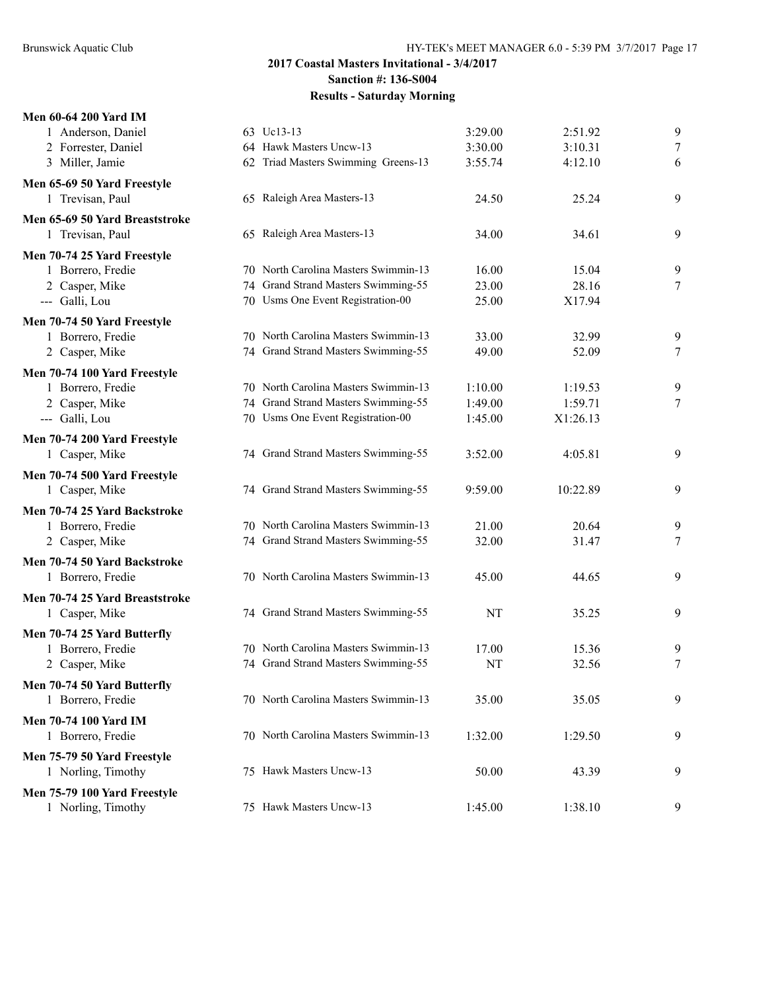| <b>Men 60-64 200 Yard IM</b>   |                                      |         |          |   |
|--------------------------------|--------------------------------------|---------|----------|---|
| 1 Anderson, Daniel             | 63 Uc13-13                           | 3:29.00 | 2:51.92  | 9 |
| 2 Forrester, Daniel            | 64 Hawk Masters Uncw-13              | 3:30.00 | 3:10.31  | 7 |
| 3 Miller, Jamie                | 62 Triad Masters Swimming Greens-13  | 3:55.74 | 4:12.10  | 6 |
| Men 65-69 50 Yard Freestyle    |                                      |         |          |   |
| 1 Trevisan, Paul               | 65 Raleigh Area Masters-13           | 24.50   | 25.24    | 9 |
| Men 65-69 50 Yard Breaststroke |                                      |         |          |   |
| 1 Trevisan, Paul               | 65 Raleigh Area Masters-13           | 34.00   | 34.61    | 9 |
| Men 70-74 25 Yard Freestyle    |                                      |         |          |   |
| 1 Borrero, Fredie              | 70 North Carolina Masters Swimmin-13 | 16.00   | 15.04    | 9 |
| 2 Casper, Mike                 | 74 Grand Strand Masters Swimming-55  | 23.00   | 28.16    | 7 |
| --- Galli, Lou                 | 70 Usms One Event Registration-00    | 25.00   | X17.94   |   |
| Men 70-74 50 Yard Freestyle    |                                      |         |          |   |
| 1 Borrero, Fredie              | 70 North Carolina Masters Swimmin-13 | 33.00   | 32.99    | 9 |
| 2 Casper, Mike                 | 74 Grand Strand Masters Swimming-55  | 49.00   | 52.09    | 7 |
| Men 70-74 100 Yard Freestyle   |                                      |         |          |   |
| 1 Borrero, Fredie              | 70 North Carolina Masters Swimmin-13 | 1:10.00 | 1:19.53  | 9 |
| 2 Casper, Mike                 | 74 Grand Strand Masters Swimming-55  | 1:49.00 | 1:59.71  | 7 |
| --- Galli, Lou                 | 70 Usms One Event Registration-00    | 1:45.00 | X1:26.13 |   |
| Men 70-74 200 Yard Freestyle   |                                      |         |          |   |
| 1 Casper, Mike                 | 74 Grand Strand Masters Swimming-55  | 3:52.00 | 4:05.81  | 9 |
| Men 70-74 500 Yard Freestyle   |                                      |         |          |   |
| 1 Casper, Mike                 | 74 Grand Strand Masters Swimming-55  | 9:59.00 | 10:22.89 | 9 |
| Men 70-74 25 Yard Backstroke   |                                      |         |          |   |
| 1 Borrero, Fredie              | 70 North Carolina Masters Swimmin-13 | 21.00   | 20.64    | 9 |
| 2 Casper, Mike                 | 74 Grand Strand Masters Swimming-55  | 32.00   | 31.47    | 7 |
| Men 70-74 50 Yard Backstroke   |                                      |         |          |   |
| 1 Borrero, Fredie              | 70 North Carolina Masters Swimmin-13 | 45.00   | 44.65    | 9 |
| Men 70-74 25 Yard Breaststroke |                                      |         |          |   |
| 1 Casper, Mike                 | 74 Grand Strand Masters Swimming-55  | NT      | 35.25    | 9 |
| Men 70-74 25 Yard Butterfly    |                                      |         |          |   |
| 1 Borrero, Fredie              | 70 North Carolina Masters Swimmin-13 | 17.00   | 15.36    | 9 |
| 2 Casper, Mike                 | 74 Grand Strand Masters Swimming-55  | NT      | 32.56    | 7 |
| Men 70-74 50 Yard Butterfly    |                                      |         |          |   |
| 1 Borrero, Fredie              | 70 North Carolina Masters Swimmin-13 | 35.00   | 35.05    | 9 |
| <b>Men 70-74 100 Yard IM</b>   |                                      |         |          |   |
| 1 Borrero, Fredie              | 70 North Carolina Masters Swimmin-13 | 1:32.00 | 1:29.50  | 9 |
|                                |                                      |         |          |   |
| Men 75-79 50 Yard Freestyle    | 75 Hawk Masters Uncw-13              | 50.00   | 43.39    | 9 |
| 1 Norling, Timothy             |                                      |         |          |   |
| Men 75-79 100 Yard Freestyle   |                                      |         |          |   |
| 1 Norling, Timothy             | 75 Hawk Masters Uncw-13              | 1:45.00 | 1:38.10  | 9 |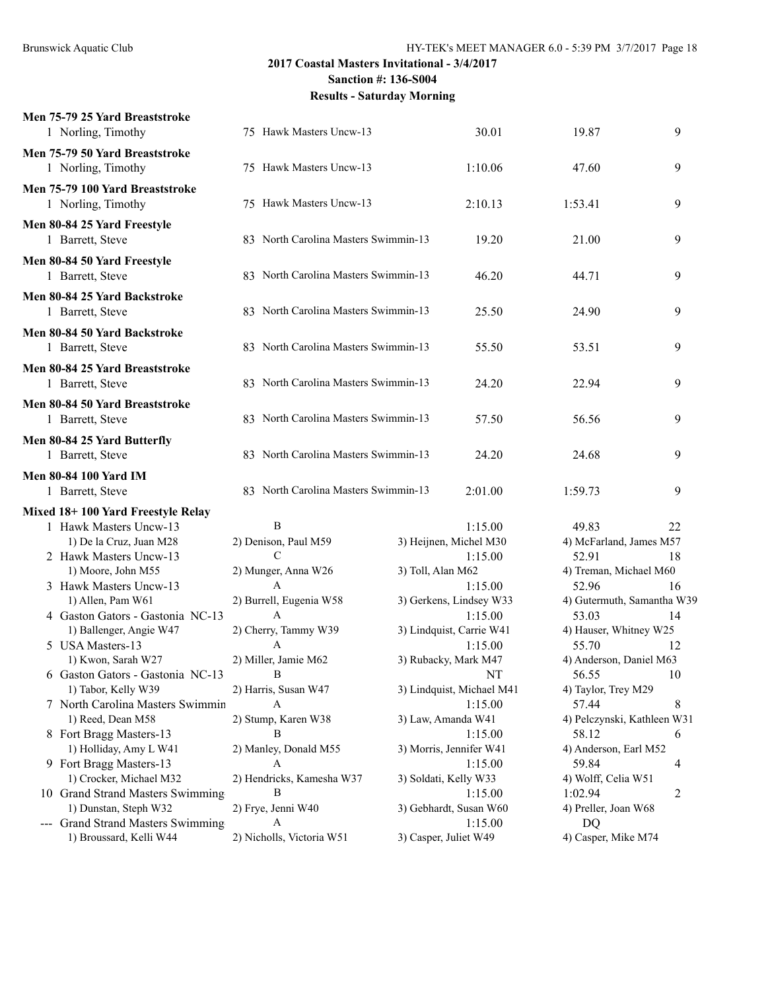| Men 75-79 25 Yard Breaststroke<br>1 Norling, Timothy  | 75 Hawk Masters Uncw-13              |                       | 30.01                     | 19.87                       | 9  |
|-------------------------------------------------------|--------------------------------------|-----------------------|---------------------------|-----------------------------|----|
| Men 75-79 50 Yard Breaststroke<br>1 Norling, Timothy  | 75 Hawk Masters Uncw-13              |                       | 1:10.06                   | 47.60                       | 9  |
| Men 75-79 100 Yard Breaststroke<br>1 Norling, Timothy | 75 Hawk Masters Uncw-13              |                       | 2:10.13                   | 1:53.41                     | 9  |
| Men 80-84 25 Yard Freestyle<br>1 Barrett, Steve       | 83 North Carolina Masters Swimmin-13 |                       | 19.20                     | 21.00                       | 9  |
| Men 80-84 50 Yard Freestyle<br>1 Barrett, Steve       | 83 North Carolina Masters Swimmin-13 |                       | 46.20                     | 44.71                       | 9  |
| Men 80-84 25 Yard Backstroke<br>1 Barrett, Steve      | 83 North Carolina Masters Swimmin-13 |                       | 25.50                     | 24.90                       | 9  |
| Men 80-84 50 Yard Backstroke<br>1 Barrett, Steve      | 83 North Carolina Masters Swimmin-13 |                       | 55.50                     | 53.51                       | 9  |
| Men 80-84 25 Yard Breaststroke<br>1 Barrett, Steve    | 83 North Carolina Masters Swimmin-13 |                       | 24.20                     | 22.94                       | 9  |
| Men 80-84 50 Yard Breaststroke<br>1 Barrett, Steve    | 83 North Carolina Masters Swimmin-13 |                       | 57.50                     | 56.56                       | 9  |
| Men 80-84 25 Yard Butterfly<br>1 Barrett, Steve       | 83 North Carolina Masters Swimmin-13 |                       | 24.20                     | 24.68                       | 9  |
| <b>Men 80-84 100 Yard IM</b><br>1 Barrett, Steve      | 83 North Carolina Masters Swimmin-13 |                       | 2:01.00                   | 1:59.73                     | 9  |
| Mixed 18+100 Yard Freestyle Relay                     |                                      |                       |                           |                             |    |
| 1 Hawk Masters Uncw-13                                | B                                    |                       | 1:15.00                   | 49.83                       | 22 |
| 1) De la Cruz, Juan M28                               | 2) Denison, Paul M59                 |                       | 3) Heijnen, Michel M30    | 4) McFarland, James M57     |    |
| 2 Hawk Masters Uncw-13                                | C                                    |                       | 1:15.00                   | 52.91                       | 18 |
| 1) Moore, John M55                                    | 2) Munger, Anna W26                  | 3) Toll, Alan M62     |                           | 4) Treman, Michael M60      |    |
| 3 Hawk Masters Uncw-13                                | A                                    |                       | 1:15.00                   | 52.96                       | 16 |
| 1) Allen, Pam W61                                     | 2) Burrell, Eugenia W58              |                       | 3) Gerkens, Lindsey W33   | 4) Gutermuth, Samantha W39  |    |
| 4 Gaston Gators - Gastonia NC-13                      | A                                    |                       | 1:15.00                   | 53.03                       | 14 |
| 1) Ballenger, Angie W47                               | 2) Cherry, Tammy W39                 |                       | 3) Lindquist, Carrie W41  | 4) Hauser, Whitney W25      |    |
| 5 USA Masters-13                                      | A                                    |                       | 1:15.00                   | 55.70                       | 12 |
| 1) Kwon, Sarah W27                                    | 2) Miller, Jamie M62                 |                       | 3) Rubacky, Mark M47      | 4) Anderson, Daniel M63     |    |
| 6 Gaston Gators - Gastonia NC-13                      | В                                    |                       | NT                        | 56.55                       | 10 |
| 1) Tabor, Kelly W39                                   | 2) Harris, Susan W47                 |                       | 3) Lindquist, Michael M41 | 4) Taylor, Trey M29         |    |
| 7 North Carolina Masters Swimmin                      | A                                    |                       | 1:15.00                   | 57.44                       | 8  |
| 1) Reed, Dean M58                                     | 2) Stump, Karen W38                  |                       | 3) Law, Amanda W41        | 4) Pelczynski, Kathleen W31 |    |
| 8 Fort Bragg Masters-13                               | B                                    |                       | 1:15.00                   | 58.12                       | 6  |
| 1) Holliday, Amy L W41                                | 2) Manley, Donald M55                |                       | 3) Morris, Jennifer W41   | 4) Anderson, Earl M52       |    |
| 9 Fort Bragg Masters-13                               | A                                    |                       | 1:15.00                   | 59.84                       | 4  |
| 1) Crocker, Michael M32                               | 2) Hendricks, Kamesha W37            |                       | 3) Soldati, Kelly W33     | 4) Wolff, Celia W51         |    |
| 10 Grand Strand Masters Swimming                      | B                                    |                       | 1:15.00                   | 1:02.94                     | 2  |
| 1) Dunstan, Steph W32                                 | 2) Frye, Jenni W40                   |                       | 3) Gebhardt, Susan W60    | 4) Preller, Joan W68        |    |
| --- Grand Strand Masters Swimming                     | A                                    |                       | 1:15.00                   | DQ                          |    |
| 1) Broussard, Kelli W44                               | 2) Nicholls, Victoria W51            | 3) Casper, Juliet W49 |                           | 4) Casper, Mike M74         |    |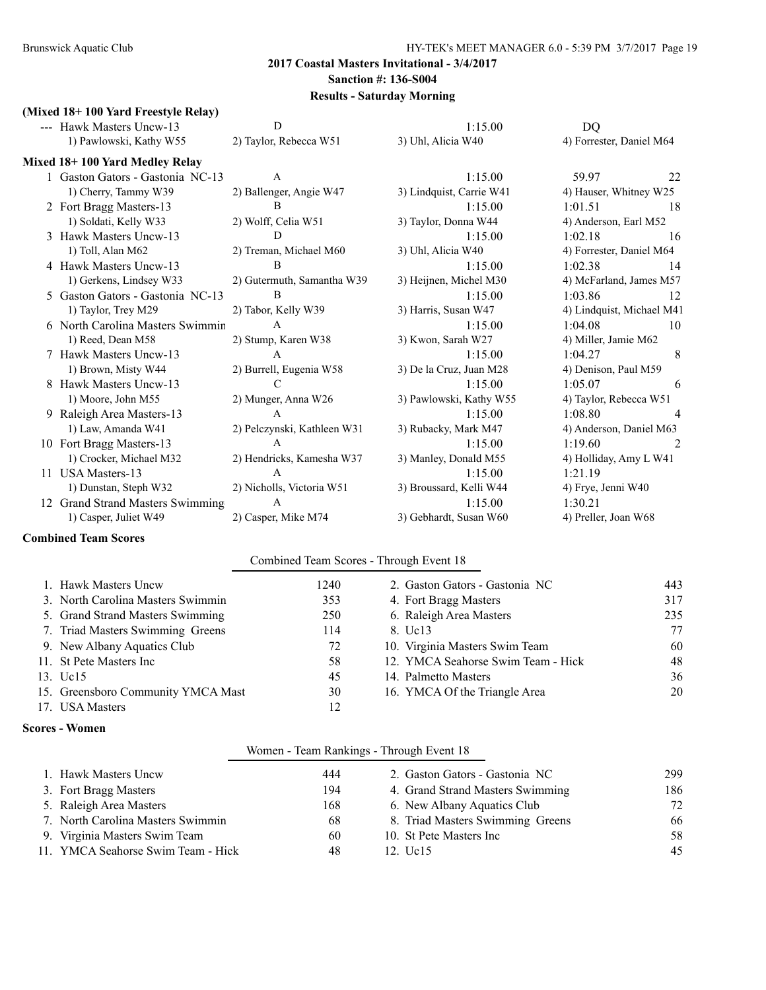#### **(Mixed 18+ 100 Yard Freestyle Relay)**

| --- Hawk Masters Uncw-13         | D                           | 1:15.00                  | DQ                        |    |
|----------------------------------|-----------------------------|--------------------------|---------------------------|----|
| 1) Pawlowski, Kathy W55          | 2) Taylor, Rebecca W51      | 3) Uhl, Alicia W40       | 4) Forrester, Daniel M64  |    |
| Mixed 18+100 Yard Medley Relay   |                             |                          |                           |    |
| 1 Gaston Gators - Gastonia NC-13 | $\mathbf{A}$                | 1:15.00                  | 59.97                     | 22 |
| 1) Cherry, Tammy W39             | 2) Ballenger, Angie W47     | 3) Lindquist, Carrie W41 | 4) Hauser, Whitney W25    |    |
| 2 Fort Bragg Masters-13          | B                           | 1:15.00                  | 1:01.51                   | 18 |
| 1) Soldati, Kelly W33            | 2) Wolff, Celia W51         | 3) Taylor, Donna W44     | 4) Anderson, Earl M52     |    |
| 3 Hawk Masters Uncw-13           | D                           | 1:15.00                  | 1:02.18                   | 16 |
| 1) Toll, Alan M62                | 2) Treman, Michael M60      | 3) Uhl, Alicia W40       | 4) Forrester, Daniel M64  |    |
| 4 Hawk Masters Uncw-13           | B                           | 1:15.00                  | 1:02.38                   | 14 |
| 1) Gerkens, Lindsey W33          | 2) Gutermuth, Samantha W39  | 3) Heijnen, Michel M30   | 4) McFarland, James M57   |    |
| 5 Gaston Gators - Gastonia NC-13 | $\overline{B}$              | 1:15.00                  | 1:03.86                   | 12 |
| 1) Taylor, Trey M29              | 2) Tabor, Kelly W39         | 3) Harris, Susan W47     | 4) Lindquist, Michael M41 |    |
| 6 North Carolina Masters Swimmin | $\mathbf{A}$                | 1:15.00                  | 1:04.08                   | 10 |
| 1) Reed, Dean M58                | 2) Stump, Karen W38         | 3) Kwon, Sarah W27       | 4) Miller, Jamie M62      |    |
| 7 Hawk Masters Uncw-13           | A                           | 1:15.00                  | 1:04.27                   | 8  |
| 1) Brown, Misty W44              | 2) Burrell, Eugenia W58     | 3) De la Cruz, Juan M28  | 4) Denison, Paul M59      |    |
| 8 Hawk Masters Uncw-13           | C                           | 1:15.00                  | 1:05.07                   | 6  |
| 1) Moore, John M55               | 2) Munger, Anna W26         | 3) Pawlowski, Kathy W55  | 4) Taylor, Rebecca W51    |    |
| Raleigh Area Masters-13          | A                           | 1:15.00                  | 1:08.80                   |    |
| 1) Law, Amanda W41               | 2) Pelczynski, Kathleen W31 | 3) Rubacky, Mark M47     | 4) Anderson, Daniel M63   |    |
| 10 Fort Bragg Masters-13         | A                           | 1:15.00                  | 1:19.60                   | 2  |
| 1) Crocker, Michael M32          | 2) Hendricks, Kamesha W37   | 3) Manley, Donald M55    | 4) Holliday, Amy L W41    |    |
| 11 USA Masters-13                | A                           | 1:15.00                  | 1:21.19                   |    |
| 1) Dunstan, Steph W32            | 2) Nicholls, Victoria W51   | 3) Broussard, Kelli W44  | 4) Frye, Jenni W40        |    |
| 12 Grand Strand Masters Swimming | $\overline{A}$              | 1:15.00                  | 1:30.21                   |    |
| 1) Casper, Juliet W49            | 2) Casper, Mike M74         | 3) Gebhardt, Susan W60   | 4) Preller, Joan W68      |    |

#### **Combined Team Scores**

#### Combined Team Scores - Through Event 18

| 1. Hawk Masters Uncw               | 1240. | 2. Gaston Gators - Gastonia NC     | 443 |
|------------------------------------|-------|------------------------------------|-----|
| 3. North Carolina Masters Swimmin  | 353   | 4. Fort Bragg Masters              | 317 |
| 5. Grand Strand Masters Swimming   | 250   | 6. Raleigh Area Masters            | 235 |
| 7. Triad Masters Swimming Greens   | 114   | 8. Uc13                            | 77  |
| 9. New Albany Aquatics Club        | 72    | 10. Virginia Masters Swim Team     | 60  |
| 11. St Pete Masters Inc.           | 58    | 12. YMCA Seahorse Swim Team - Hick | 48  |
| 13. Uc15                           | 45    | 14. Palmetto Masters               | 36  |
| 15. Greensboro Community YMCA Mast | 30    | 16. YMCA Of the Triangle Area      | 20  |
| 17. USA Masters                    | 12    |                                    |     |

#### **Scores - Women**

#### Women - Team Rankings - Through Event 18

| 1. Hawk Masters Uncw               | 444 | 2. Gaston Gators - Gastonia NC   | 299 |
|------------------------------------|-----|----------------------------------|-----|
| 3. Fort Bragg Masters              | 194 | 4. Grand Strand Masters Swimming | 186 |
| 5. Raleigh Area Masters            | 168 | 6. New Albany Aquatics Club      | 72  |
| 7. North Carolina Masters Swimmin  | 68  | 8. Triad Masters Swimming Greens | 66  |
| 9. Virginia Masters Swim Team      | 60  | 10. St Pete Masters Inc.         | .58 |
| 11. YMCA Seahorse Swim Team - Hick | 48  | 12. Uc15                         | 45  |